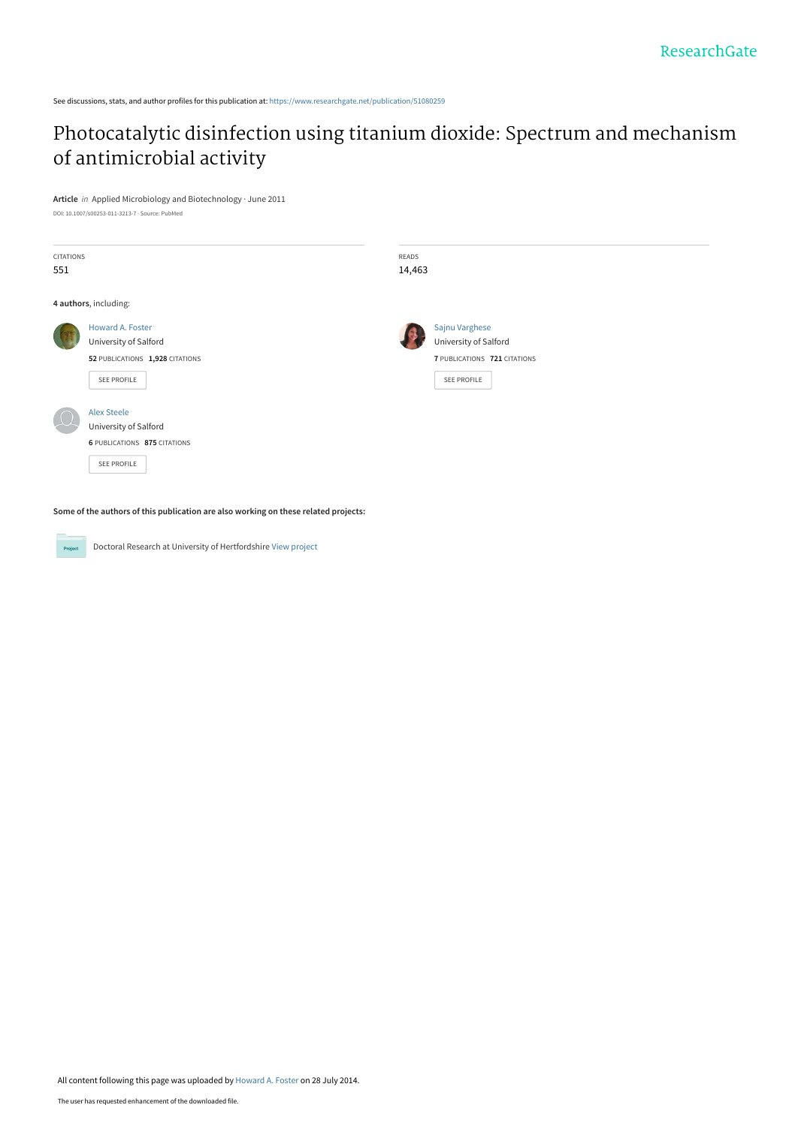See discussions, stats, and author profiles for this publication at: [https://www.researchgate.net/publication/51080259](https://www.researchgate.net/publication/51080259_Photocatalytic_disinfection_using_titanium_dioxide_Spectrum_and_mechanism_of_antimicrobial_activity?enrichId=rgreq-2fcc7eb944b2ec982fcfbe41a8c67a6e-XXX&enrichSource=Y292ZXJQYWdlOzUxMDgwMjU5O0FTOjEyMzkzMjgyNDgzODE0NEAxNDA2NTU5Mjk2MjMy&el=1_x_2&_esc=publicationCoverPdf)

# [Photocatalytic disinfection using titanium dioxide: Spectrum and mechanism](https://www.researchgate.net/publication/51080259_Photocatalytic_disinfection_using_titanium_dioxide_Spectrum_and_mechanism_of_antimicrobial_activity?enrichId=rgreq-2fcc7eb944b2ec982fcfbe41a8c67a6e-XXX&enrichSource=Y292ZXJQYWdlOzUxMDgwMjU5O0FTOjEyMzkzMjgyNDgzODE0NEAxNDA2NTU5Mjk2MjMy&el=1_x_3&_esc=publicationCoverPdf) of antimicrobial activity

**Article** in Applied Microbiology and Biotechnology · June 2011

DOI: 10.1007/s00253-011-3213-7 · Source: PubMed

| <b>CITATIONS</b><br>551 |                                                                                             | READS<br>14,463 |                                                                                        |
|-------------------------|---------------------------------------------------------------------------------------------|-----------------|----------------------------------------------------------------------------------------|
|                         | 4 authors, including:                                                                       |                 |                                                                                        |
|                         | Howard A. Foster<br>University of Salford<br>52 PUBLICATIONS 1,928 CITATIONS<br>SEE PROFILE |                 | Sajnu Varghese<br>University of Salford<br>7 PUBLICATIONS 721 CITATIONS<br>SEE PROFILE |
|                         | <b>Alex Steele</b><br>University of Salford<br>6 PUBLICATIONS 875 CITATIONS<br>SEE PROFILE  |                 |                                                                                        |

**Some of the authors of this publication are also working on these related projects:**

**Project** 

Doctoral Research at University of Hertfordshire [View project](https://www.researchgate.net/project/Doctoral-Research-at-University-of-Hertfordshire?enrichId=rgreq-2fcc7eb944b2ec982fcfbe41a8c67a6e-XXX&enrichSource=Y292ZXJQYWdlOzUxMDgwMjU5O0FTOjEyMzkzMjgyNDgzODE0NEAxNDA2NTU5Mjk2MjMy&el=1_x_9&_esc=publicationCoverPdf)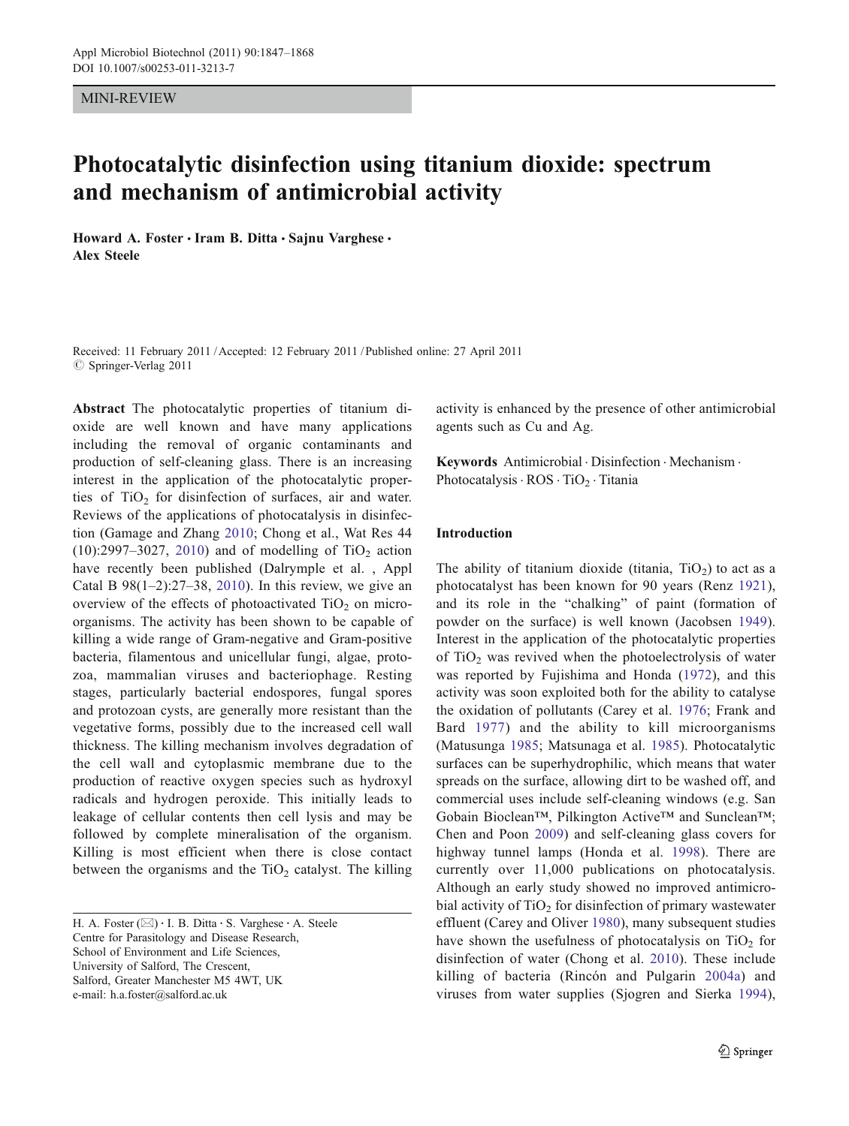#### MINI-REVIEW

# Photocatalytic disinfection using titanium dioxide: spectrum and mechanism of antimicrobial activity

Howard A. Foster · Iram B. Ditta · Sajnu Varghese · Alex Steele

Received: 11 February 2011 /Accepted: 12 February 2011 / Published online: 27 April 2011  $\oslash$  Springer-Verlag 2011

Abstract The photocatalytic properties of titanium dioxide are well known and have many applications including the removal of organic contaminants and production of self-cleaning glass. There is an increasing interest in the application of the photocatalytic properties of  $TiO<sub>2</sub>$  for disinfection of surfaces, air and water. Reviews of the applications of photocatalysis in disinfection (Gamage and Zhang [2010;](#page-17-0) Chong et al., Wat Res 44  $(10):2997-3027$ , [2010](#page-16-0)) and of modelling of TiO<sub>2</sub> action have recently been published (Dalrymple et al. , Appl Catal B  $98(1-2)$ :27-38, [2010](#page-16-0)). In this review, we give an overview of the effects of photoactivated  $TiO<sub>2</sub>$  on microorganisms. The activity has been shown to be capable of killing a wide range of Gram-negative and Gram-positive bacteria, filamentous and unicellular fungi, algae, protozoa, mammalian viruses and bacteriophage. Resting stages, particularly bacterial endospores, fungal spores and protozoan cysts, are generally more resistant than the vegetative forms, possibly due to the increased cell wall thickness. The killing mechanism involves degradation of the cell wall and cytoplasmic membrane due to the production of reactive oxygen species such as hydroxyl radicals and hydrogen peroxide. This initially leads to leakage of cellular contents then cell lysis and may be followed by complete mineralisation of the organism. Killing is most efficient when there is close contact between the organisms and the  $TiO<sub>2</sub>$  catalyst. The killing

H. A. Foster ( $\boxtimes$ ) · I. B. Ditta · S. Varghese · A. Steele Centre for Parasitology and Disease Research, School of Environment and Life Sciences, University of Salford, The Crescent, Salford, Greater Manchester M5 4WT, UK e-mail: h.a.foster@salford.ac.uk

activity is enhanced by the presence of other antimicrobial agents such as Cu and Ag.

Keywords Antimicrobial . Disinfection . Mechanism . Photocatalysis  $\cdot$  ROS  $\cdot$  TiO<sub>2</sub>  $\cdot$  Titania

#### Introduction

The ability of titanium dioxide (titania,  $TiO<sub>2</sub>$ ) to act as a photocatalyst has been known for 90 years (Renz [1921](#page-20-0)), and its role in the "chalking" of paint (formation of powder on the surface) is well known (Jacobsen [1949](#page-18-0)). Interest in the application of the photocatalytic properties of  $TiO<sub>2</sub>$  was revived when the photoelectrolysis of water was reported by Fujishima and Honda [\(1972\)](#page-17-0), and this activity was soon exploited both for the ability to catalyse the oxidation of pollutants (Carey et al. [1976;](#page-16-0) Frank and Bard [1977\)](#page-17-0) and the ability to kill microorganisms (Matusunga [1985](#page-19-0); Matsunaga et al. [1985](#page-19-0)). Photocatalytic surfaces can be superhydrophilic, which means that water spreads on the surface, allowing dirt to be washed off, and commercial uses include self-cleaning windows (e.g. San Gobain Bioclean™, Pilkington Active™ and Sunclean™; Chen and Poon [2009\)](#page-16-0) and self-cleaning glass covers for highway tunnel lamps (Honda et al. [1998\)](#page-17-0). There are currently over 11,000 publications on photocatalysis. Although an early study showed no improved antimicrobial activity of  $TiO<sub>2</sub>$  for disinfection of primary wastewater effluent (Carey and Oliver [1980](#page-16-0)), many subsequent studies have shown the usefulness of photocatalysis on  $TiO<sub>2</sub>$  for disinfection of water (Chong et al. [2010\)](#page-16-0). These include killing of bacteria (Rincón and Pulgarin [2004a\)](#page-20-0) and viruses from water supplies (Sjogren and Sierka [1994](#page-21-0)),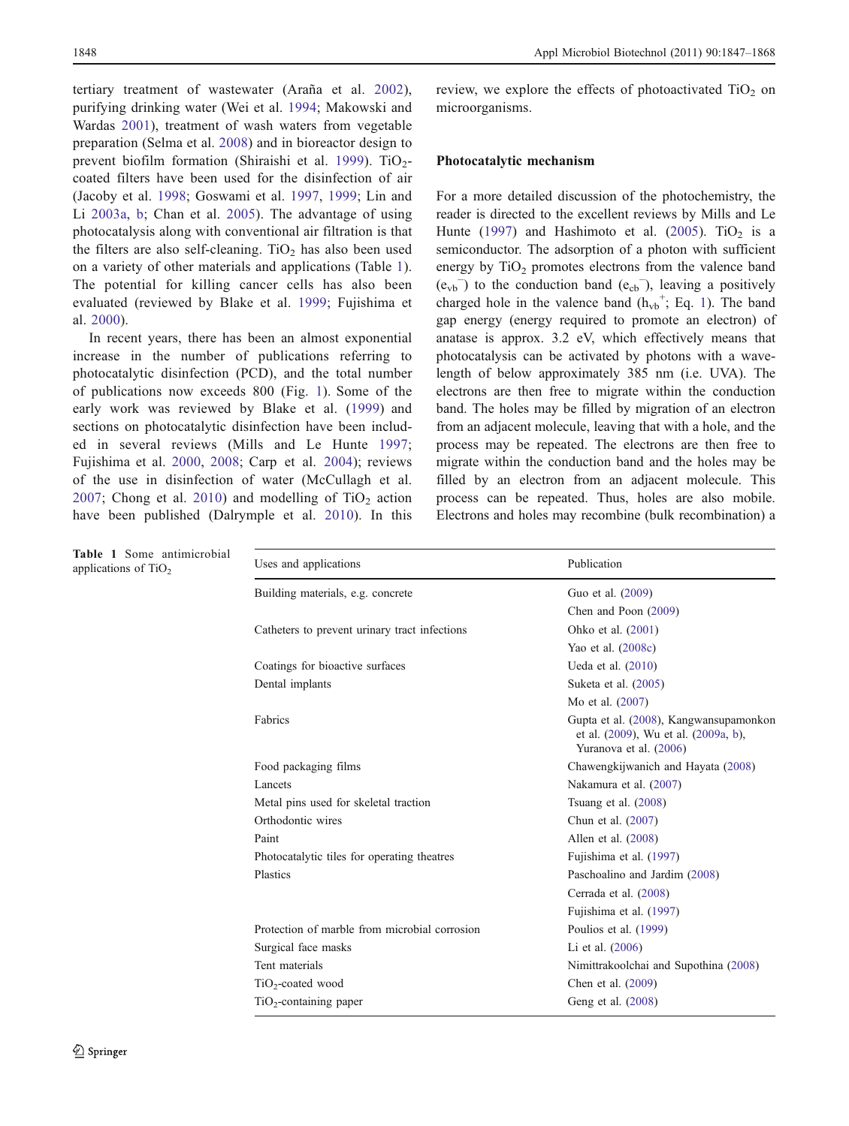tertiary treatment of wastewater (Araña et al. [2002](#page-15-0)), purifying drinking water (Wei et al. [1994](#page-22-0); Makowski and Wardas [2001\)](#page-19-0), treatment of wash waters from vegetable preparation (Selma et al. [2008](#page-21-0)) and in bioreactor design to prevent biofilm formation (Shiraishi et al. [1999\)](#page-21-0). TiO<sub>2</sub>coated filters have been used for the disinfection of air (Jacoby et al. [1998;](#page-18-0) Goswami et al. [1997,](#page-17-0) [1999;](#page-17-0) Lin and Li [2003a,](#page-19-0) [b;](#page-19-0) Chan et al. [2005](#page-16-0)). The advantage of using photocatalysis along with conventional air filtration is that the filters are also self-cleaning.  $TiO<sub>2</sub>$  has also been used on a variety of other materials and applications (Table 1). The potential for killing cancer cells has also been evaluated (reviewed by Blake et al. [1999](#page-15-0); Fujishima et al. [2000](#page-17-0)).

In recent years, there has been an almost exponential increase in the number of publications referring to photocatalytic disinfection (PCD), and the total number of publications now exceeds 800 (Fig. [1\)](#page-3-0). Some of the early work was reviewed by Blake et al. [\(1999\)](#page-15-0) and sections on photocatalytic disinfection have been included in several reviews (Mills and Le Hunte [1997](#page-19-0); Fujishima et al. [2000,](#page-17-0) [2008;](#page-17-0) Carp et al. [2004\)](#page-16-0); reviews of the use in disinfection of water (McCullagh et al. [2007](#page-19-0); Chong et al. [2010\)](#page-16-0) and modelling of  $TiO<sub>2</sub>$  action have been published (Dalrymple et al. [2010](#page-16-0)). In this review, we explore the effects of photoactivated  $TiO<sub>2</sub>$  on microorganisms.

#### Photocatalytic mechanism

For a more detailed discussion of the photochemistry, the reader is directed to the excellent reviews by Mills and Le Hunte ([1997\)](#page-19-0) and Hashimoto et al. [\(2005](#page-17-0)). TiO<sub>2</sub> is a semiconductor. The adsorption of a photon with sufficient energy by  $TiO<sub>2</sub>$  promotes electrons from the valence band  $(e_{vb}^-)$  to the conduction band  $(e_{cb}^-)$ , leaving a positively charged hole in the valence band  $(h_{vb}^+; Eq. 1)$  $(h_{vb}^+; Eq. 1)$  $(h_{vb}^+; Eq. 1)$ . The band gap energy (energy required to promote an electron) of anatase is approx. 3.2 eV, which effectively means that photocatalysis can be activated by photons with a wavelength of below approximately 385 nm (i.e. UVA). The electrons are then free to migrate within the conduction band. The holes may be filled by migration of an electron from an adjacent molecule, leaving that with a hole, and the process may be repeated. The electrons are then free to migrate within the conduction band and the holes may be filled by an electron from an adjacent molecule. This process can be repeated. Thus, holes are also mobile. Electrons and holes may recombine (bulk recombination) a

| Table 1 Some antimicrobial<br>applications of $TiO2$ | Uses and applications                         | Publication                                                                                              |
|------------------------------------------------------|-----------------------------------------------|----------------------------------------------------------------------------------------------------------|
|                                                      | Building materials, e.g. concrete             | Guo et al. (2009)                                                                                        |
|                                                      |                                               | Chen and Poon (2009)                                                                                     |
|                                                      | Catheters to prevent urinary tract infections | Ohko et al. (2001)                                                                                       |
|                                                      |                                               | Yao et al. (2008c)                                                                                       |
|                                                      | Coatings for bioactive surfaces               | Ueda et al. (2010)                                                                                       |
|                                                      | Dental implants                               | Suketa et al. (2005)                                                                                     |
|                                                      |                                               | Mo et al. (2007)                                                                                         |
|                                                      | Fabrics                                       | Gupta et al. (2008), Kangwansupamonkon<br>et al. (2009), Wu et al. (2009a, b),<br>Yuranova et al. (2006) |
|                                                      | Food packaging films                          | Chawengkijwanich and Hayata (2008)                                                                       |
|                                                      | Lancets                                       | Nakamura et al. (2007)                                                                                   |
|                                                      | Metal pins used for skeletal traction         | Tsuang et al. $(2008)$                                                                                   |
|                                                      | Orthodontic wires                             | Chun et al. (2007)                                                                                       |
|                                                      | Paint                                         | Allen et al. $(2008)$                                                                                    |
|                                                      | Photocatalytic tiles for operating theatres   | Fujishima et al. (1997)                                                                                  |
|                                                      | Plastics                                      | Paschoalino and Jardim (2008)                                                                            |
|                                                      |                                               | Cerrada et al. (2008)                                                                                    |
|                                                      |                                               | Fujishima et al. (1997)                                                                                  |
|                                                      | Protection of marble from microbial corrosion | Poulios et al. (1999)                                                                                    |
|                                                      | Surgical face masks                           | Li et al. (2006)                                                                                         |
|                                                      | Tent materials                                | Nimittrakoolchai and Supothina (2008)                                                                    |
|                                                      | $TiO2$ -coated wood                           | Chen et al. (2009)                                                                                       |
|                                                      | TiO <sub>2</sub> -containing paper            | Geng et al. (2008)                                                                                       |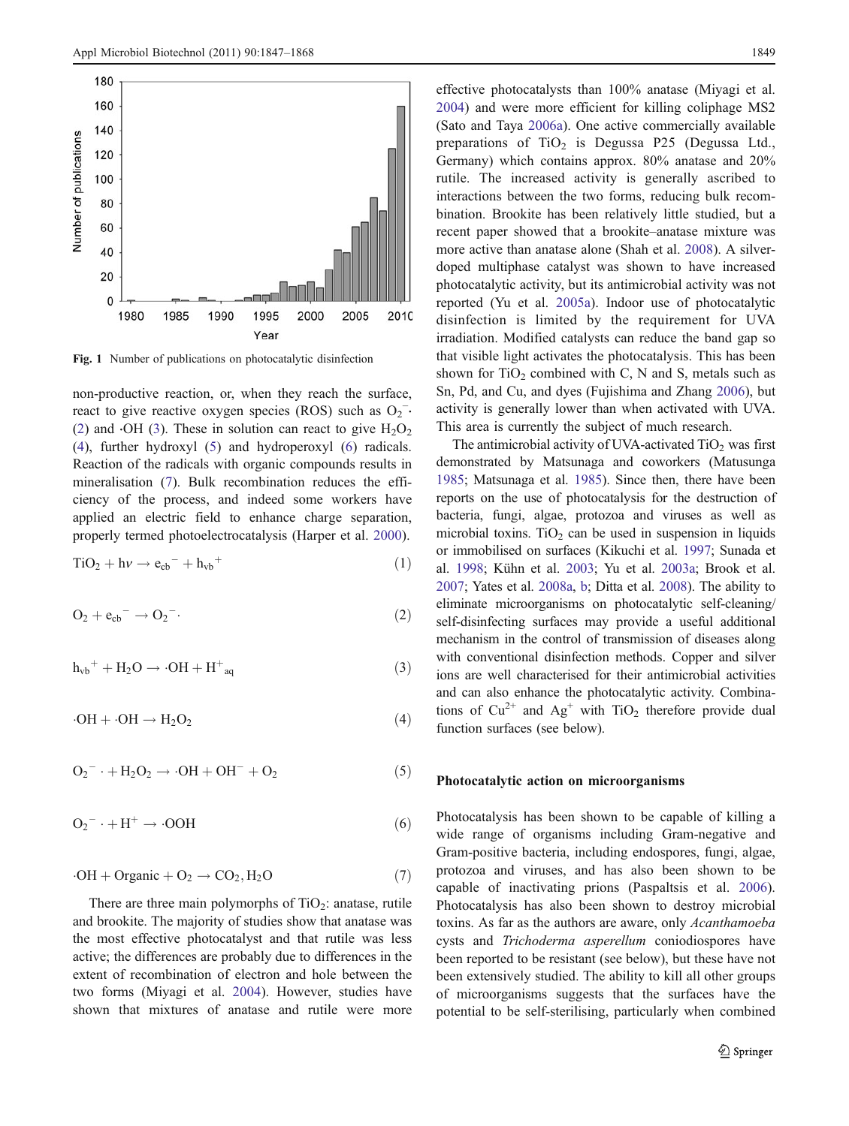<span id="page-3-0"></span>

Fig. 1 Number of publications on photocatalytic disinfection

non-productive reaction, or, when they reach the surface, react to give reactive oxygen species (ROS) such as  $O_2^-$ . (2) and  $\cdot$ OH (3). These in solution can react to give  $H_2O_2$ (4), further hydroxyl (5) and hydroperoxyl (6) radicals. Reaction of the radicals with organic compounds results in mineralisation (7). Bulk recombination reduces the efficiency of the process, and indeed some workers have applied an electric field to enhance charge separation, properly termed photoelectrocatalysis (Harper et al. [2000](#page-17-0)).

$$
TiO2 + h\nu \rightarrow ecb- + hvb+
$$
 (1)

$$
O_2 + e_{cb}^- \rightarrow O_2^-.
$$
 (2)

$$
h_{vb}^+ + H_2O \rightarrow \cdot OH + H^+_{aq} \tag{3}
$$

$$
\cdot OH + \cdot OH \rightarrow H_2O_2 \tag{4}
$$

$$
O_2^- \cdot + H_2O_2 \rightarrow \cdot OH + OH^- + O_2 \tag{5}
$$

$$
O_2^- \cdot + H^+ \to \cdot OOH \tag{6}
$$

$$
\cdot OH + Organic + O_2 \rightarrow CO_2, H_2O \tag{7}
$$

There are three main polymorphs of  $TiO<sub>2</sub>$ : anatase, rutile and brookite. The majority of studies show that anatase was the most effective photocatalyst and that rutile was less active; the differences are probably due to differences in the extent of recombination of electron and hole between the two forms (Miyagi et al. [2004](#page-19-0)). However, studies have shown that mixtures of anatase and rutile were more effective photocatalysts than 100% anatase (Miyagi et al. [2004](#page-19-0)) and were more efficient for killing coliphage MS2 (Sato and Taya [2006a](#page-21-0)). One active commercially available preparations of  $TiO<sub>2</sub>$  is Degussa P25 (Degussa Ltd., Germany) which contains approx. 80% anatase and 20% rutile. The increased activity is generally ascribed to interactions between the two forms, reducing bulk recombination. Brookite has been relatively little studied, but a recent paper showed that a brookite–anatase mixture was more active than anatase alone (Shah et al. [2008\)](#page-21-0). A silverdoped multiphase catalyst was shown to have increased photocatalytic activity, but its antimicrobial activity was not reported (Yu et al. [2005a\)](#page-22-0). Indoor use of photocatalytic disinfection is limited by the requirement for UVA irradiation. Modified catalysts can reduce the band gap so that visible light activates the photocatalysis. This has been shown for  $TiO<sub>2</sub>$  combined with C, N and S, metals such as Sn, Pd, and Cu, and dyes (Fujishima and Zhang [2006\)](#page-17-0), but activity is generally lower than when activated with UVA. This area is currently the subject of much research.

The antimicrobial activity of UVA-activated  $TiO<sub>2</sub>$  was first demonstrated by Matsunaga and coworkers (Matusunga [1985;](#page-19-0) Matsunaga et al. [1985](#page-19-0)). Since then, there have been reports on the use of photocatalysis for the destruction of bacteria, fungi, algae, protozoa and viruses as well as microbial toxins. TiO<sub>2</sub> can be used in suspension in liquids or immobilised on surfaces (Kikuchi et al. [1997;](#page-18-0) Sunada et al. [1998](#page-21-0); Kühn et al. [2003;](#page-18-0) Yu et al. [2003a;](#page-22-0) Brook et al. [2007;](#page-15-0) Yates et al. [2008a,](#page-22-0) [b](#page-22-0); Ditta et al. [2008](#page-16-0)). The ability to eliminate microorganisms on photocatalytic self-cleaning/ self-disinfecting surfaces may provide a useful additional mechanism in the control of transmission of diseases along with conventional disinfection methods. Copper and silver ions are well characterised for their antimicrobial activities and can also enhance the photocatalytic activity. Combinations of  $Cu^{2+}$  and  $Ag^{+}$  with TiO<sub>2</sub> therefore provide dual function surfaces (see below).

### Photocatalytic action on microorganisms

Photocatalysis has been shown to be capable of killing a wide range of organisms including Gram-negative and Gram-positive bacteria, including endospores, fungi, algae, protozoa and viruses, and has also been shown to be capable of inactivating prions (Paspaltsis et al. [2006\)](#page-20-0). Photocatalysis has also been shown to destroy microbial toxins. As far as the authors are aware, only Acanthamoeba cysts and Trichoderma asperellum coniodiospores have been reported to be resistant (see below), but these have not been extensively studied. The ability to kill all other groups of microorganisms suggests that the surfaces have the potential to be self-sterilising, particularly when combined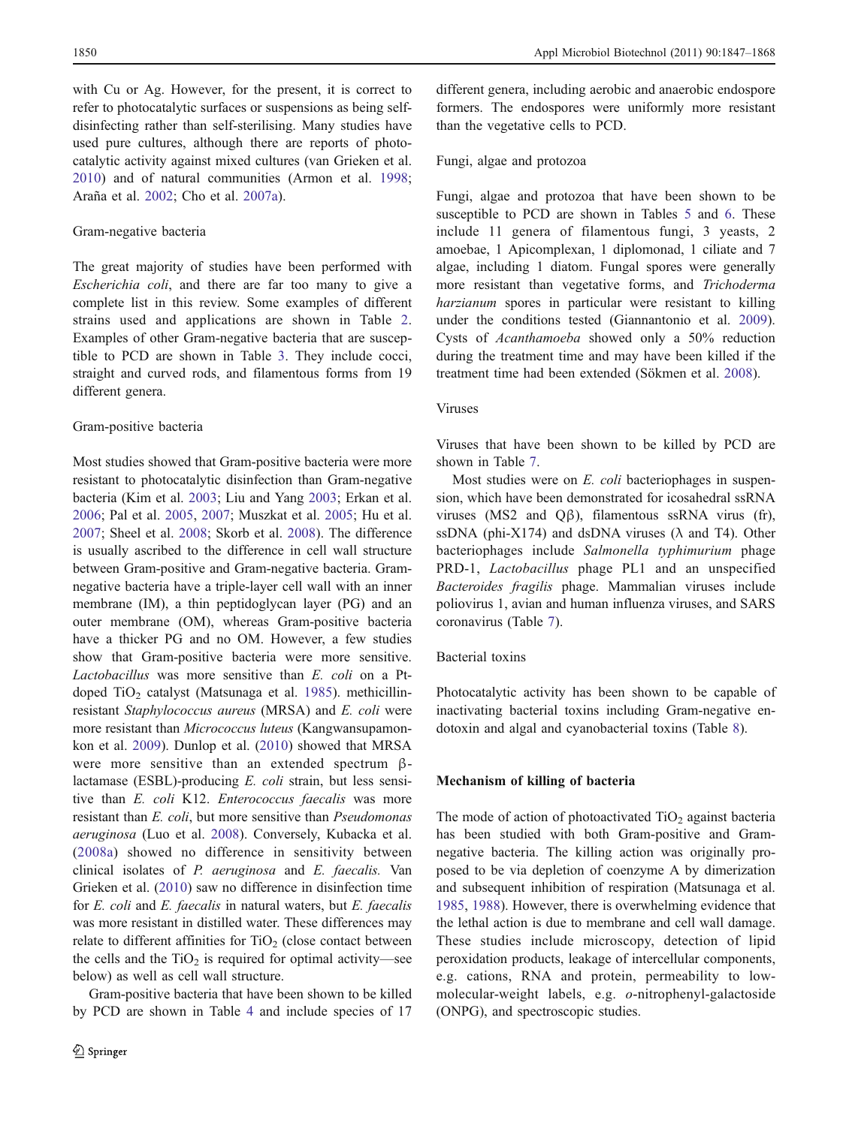with Cu or Ag. However, for the present, it is correct to refer to photocatalytic surfaces or suspensions as being selfdisinfecting rather than self-sterilising. Many studies have used pure cultures, although there are reports of photocatalytic activity against mixed cultures (van Grieken et al. [2010\)](#page-21-0) and of natural communities (Armon et al. [1998](#page-15-0); Araña et al. [2002;](#page-15-0) Cho et al. [2007a](#page-16-0)).

#### Gram-negative bacteria

The great majority of studies have been performed with Escherichia coli, and there are far too many to give a complete list in this review. Some examples of different strains used and applications are shown in Table [2.](#page-5-0) Examples of other Gram-negative bacteria that are susceptible to PCD are shown in Table [3](#page-6-0). They include cocci, straight and curved rods, and filamentous forms from 19 different genera.

#### Gram-positive bacteria

Most studies showed that Gram-positive bacteria were more resistant to photocatalytic disinfection than Gram-negative bacteria (Kim et al. [2003](#page-18-0); Liu and Yang [2003;](#page-19-0) Erkan et al. [2006;](#page-17-0) Pal et al. [2005,](#page-20-0) [2007;](#page-20-0) Muszkat et al. [2005;](#page-19-0) Hu et al. [2007;](#page-18-0) Sheel et al. [2008](#page-21-0); Skorb et al. [2008\)](#page-21-0). The difference is usually ascribed to the difference in cell wall structure between Gram-positive and Gram-negative bacteria. Gramnegative bacteria have a triple-layer cell wall with an inner membrane (IM), a thin peptidoglycan layer (PG) and an outer membrane (OM), whereas Gram-positive bacteria have a thicker PG and no OM. However, a few studies show that Gram-positive bacteria were more sensitive. Lactobacillus was more sensitive than E. coli on a Pt-doped TiO<sub>2</sub> catalyst (Matsunaga et al. [1985](#page-19-0)). methicillinresistant Staphylococcus aureus (MRSA) and E. coli were more resistant than Micrococcus luteus (Kangwansupamonkon et al. [2009\)](#page-18-0). Dunlop et al. [\(2010](#page-17-0)) showed that MRSA were more sensitive than an extended spectrum βlactamase (ESBL)-producing E. coli strain, but less sensitive than E. coli K12. Enterococcus faecalis was more resistant than E. coli, but more sensitive than Pseudomonas aeruginosa (Luo et al. [2008](#page-19-0)). Conversely, Kubacka et al. [\(2008a\)](#page-18-0) showed no difference in sensitivity between clinical isolates of P. aeruginosa and E. faecalis. Van Grieken et al. ([2010](#page-21-0)) saw no difference in disinfection time for E. coli and E. faecalis in natural waters, but E. faecalis was more resistant in distilled water. These differences may relate to different affinities for  $TiO<sub>2</sub>$  (close contact between the cells and the  $TiO<sub>2</sub>$  is required for optimal activity—see below) as well as cell wall structure.

Gram-positive bacteria that have been shown to be killed by PCD are shown in Table [4](#page-7-0) and include species of 17 different genera, including aerobic and anaerobic endospore formers. The endospores were uniformly more resistant than the vegetative cells to PCD.

#### Fungi, algae and protozoa

Fungi, algae and protozoa that have been shown to be susceptible to PCD are shown in Tables [5](#page-8-0) and [6.](#page-9-0) These include 11 genera of filamentous fungi, 3 yeasts, 2 amoebae, 1 Apicomplexan, 1 diplomonad, 1 ciliate and 7 algae, including 1 diatom. Fungal spores were generally more resistant than vegetative forms, and Trichoderma harzianum spores in particular were resistant to killing under the conditions tested (Giannantonio et al. [2009\)](#page-17-0). Cysts of Acanthamoeba showed only a 50% reduction during the treatment time and may have been killed if the treatment time had been extended (Sökmen et al. [2008](#page-21-0)).

#### Viruses

Viruses that have been shown to be killed by PCD are shown in Table [7](#page-9-0).

Most studies were on E. coli bacteriophages in suspension, which have been demonstrated for icosahedral ssRNA viruses (MS2 and Qβ), filamentous ssRNA virus (fr), ssDNA (phi-X174) and dsDNA viruses ( $\lambda$  and T4). Other bacteriophages include Salmonella typhimurium phage PRD-1, Lactobacillus phage PL1 and an unspecified Bacteroides fragilis phage. Mammalian viruses include poliovirus 1, avian and human influenza viruses, and SARS coronavirus (Table [7](#page-9-0)).

#### Bacterial toxins

Photocatalytic activity has been shown to be capable of inactivating bacterial toxins including Gram-negative endotoxin and algal and cyanobacterial toxins (Table [8](#page-10-0)).

#### Mechanism of killing of bacteria

The mode of action of photoactivated  $TiO<sub>2</sub>$  against bacteria has been studied with both Gram-positive and Gramnegative bacteria. The killing action was originally proposed to be via depletion of coenzyme A by dimerization and subsequent inhibition of respiration (Matsunaga et al. [1985](#page-19-0), [1988](#page-19-0)). However, there is overwhelming evidence that the lethal action is due to membrane and cell wall damage. These studies include microscopy, detection of lipid peroxidation products, leakage of intercellular components, e.g. cations, RNA and protein, permeability to lowmolecular-weight labels, e.g. o-nitrophenyl-galactoside (ONPG), and spectroscopic studies.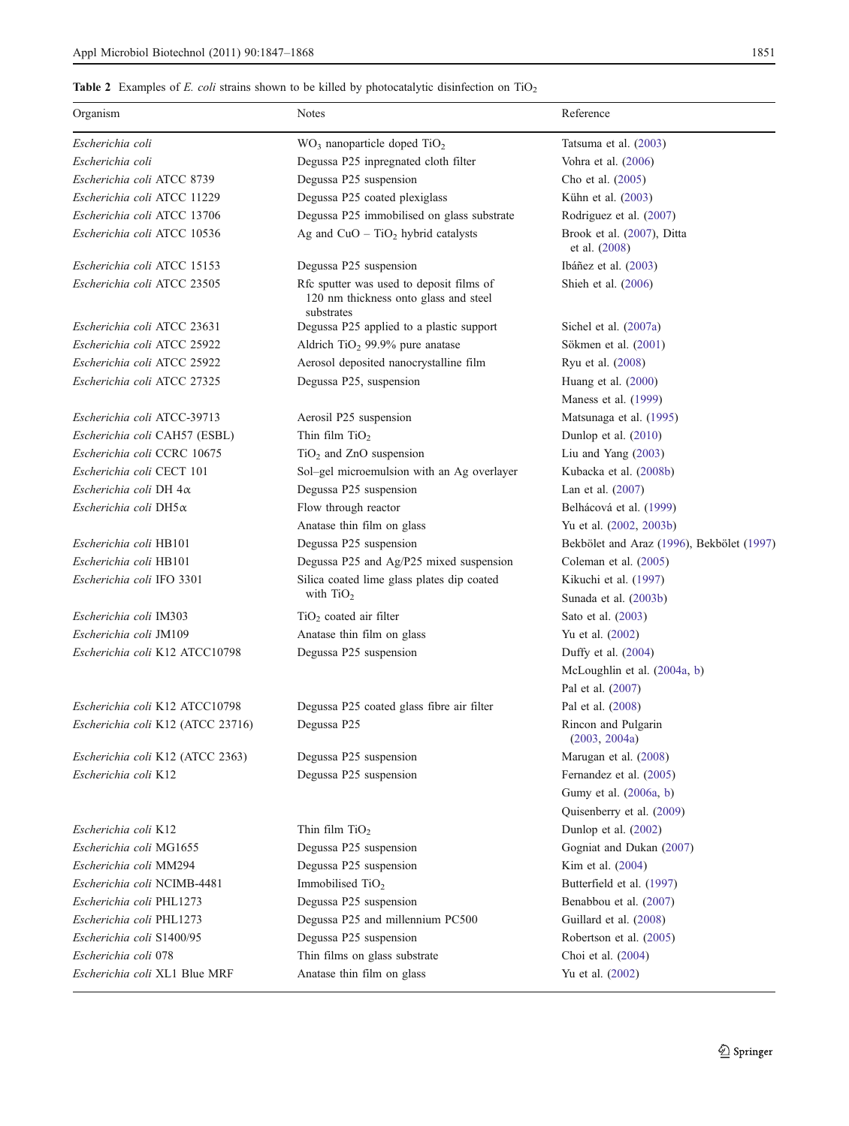# <span id="page-5-0"></span>Table 2 Examples of *E. coli* strains shown to be killed by photocatalytic disinfection on TiO

| Organism                          | <b>Notes</b>                                                                                    | Reference                                   |
|-----------------------------------|-------------------------------------------------------------------------------------------------|---------------------------------------------|
| Escherichia coli                  | $WO3$ nanoparticle doped TiO <sub>2</sub>                                                       | Tatsuma et al. (2003)                       |
| Escherichia coli                  | Degussa P25 inpregnated cloth filter                                                            | Vohra et al. (2006)                         |
| Escherichia coli ATCC 8739        | Degussa P25 suspension                                                                          | Cho et al. (2005)                           |
| Escherichia coli ATCC 11229       | Degussa P25 coated plexiglass                                                                   | Kühn et al. (2003)                          |
| Escherichia coli ATCC 13706       | Degussa P25 immobilised on glass substrate                                                      | Rodriguez et al. (2007)                     |
| Escherichia coli ATCC 10536       | Ag and $CuO - TiO2$ hybrid catalysts                                                            | Brook et al. (2007), Ditta<br>et al. (2008) |
| Escherichia coli ATCC 15153       | Degussa P25 suspension                                                                          | Ibáñez et al. (2003)                        |
| Escherichia coli ATCC 23505       | Rfc sputter was used to deposit films of<br>120 nm thickness onto glass and steel<br>substrates | Shieh et al. (2006)                         |
| Escherichia coli ATCC 23631       | Degussa P25 applied to a plastic support                                                        | Sichel et al. $(2007a)$                     |
| Escherichia coli ATCC 25922       | Aldrich TiO <sub>2</sub> 99.9% pure anatase                                                     | Sökmen et al. (2001)                        |
| Escherichia coli ATCC 25922       | Aerosol deposited nanocrystalline film                                                          | Ryu et al. (2008)                           |
| Escherichia coli ATCC 27325       | Degussa P25, suspension                                                                         | Huang et al. (2000)                         |
|                                   |                                                                                                 | Maness et al. (1999)                        |
| Escherichia coli ATCC-39713       | Aerosil P25 suspension                                                                          | Matsunaga et al. (1995)                     |
| Escherichia coli CAH57 (ESBL)     | Thin film $TiO2$                                                                                | Dunlop et al. (2010)                        |
| Escherichia coli CCRC 10675       | $TiO2$ and ZnO suspension                                                                       | Liu and Yang $(2003)$                       |
| Escherichia coli CECT 101         | Sol-gel microemulsion with an Ag overlayer                                                      | Kubacka et al. (2008b)                      |
| Escherichia coli DH 4α            | Degussa P25 suspension                                                                          | Lan et al. $(2007)$                         |
| Escherichia coli DH5 x            | Flow through reactor                                                                            | Belhácová et al. (1999)                     |
|                                   | Anatase thin film on glass                                                                      | Yu et al. (2002, 2003b)                     |
| Escherichia coli HB101            | Degussa P25 suspension                                                                          | Bekbölet and Araz (1996), Bekbölet (1997)   |
| Escherichia coli HB101            | Degussa P25 and Ag/P25 mixed suspension                                                         | Coleman et al. (2005)                       |
| Escherichia coli IFO 3301         | Silica coated lime glass plates dip coated                                                      | Kikuchi et al. (1997)                       |
|                                   | with $TiO2$                                                                                     | Sunada et al. (2003b)                       |
| Escherichia coli IM303            | $TiO2$ coated air filter                                                                        | Sato et al. (2003)                          |
| Escherichia coli JM109            | Anatase thin film on glass                                                                      | Yu et al. (2002)                            |
| Escherichia coli K12 ATCC10798    | Degussa P25 suspension                                                                          | Duffy et al. $(2004)$                       |
|                                   |                                                                                                 | McLoughlin et al. (2004a, b)                |
|                                   |                                                                                                 | Pal et al. (2007)                           |
| Escherichia coli K12 ATCC10798    | Degussa P25 coated glass fibre air filter                                                       | Pal et al. (2008)                           |
| Escherichia coli K12 (ATCC 23716) | Degussa P25                                                                                     | Rincon and Pulgarin<br>(2003, 2004a)        |
| Escherichia coli K12 (ATCC 2363)  | Degussa P25 suspension                                                                          | Marugan et al. (2008)                       |
| Escherichia coli K12              | Degussa P25 suspension                                                                          | Fernandez et al. (2005)                     |
|                                   |                                                                                                 | Gumy et al. (2006a, b)                      |
|                                   |                                                                                                 | Quisenberry et al. (2009)                   |
| Escherichia coli K12              | Thin film $TiO2$                                                                                | Dunlop et al. (2002)                        |
| Escherichia coli MG1655           | Degussa P25 suspension                                                                          | Gogniat and Dukan (2007)                    |
| Escherichia coli MM294            | Degussa P25 suspension                                                                          | Kim et al. (2004)                           |
| Escherichia coli NCIMB-4481       | Immobilised $TiO2$                                                                              | Butterfield et al. (1997)                   |
| Escherichia coli PHL1273          | Degussa P25 suspension                                                                          | Benabbou et al. (2007)                      |
| Escherichia coli PHL1273          | Degussa P25 and millennium PC500                                                                | Guillard et al. (2008)                      |
| Escherichia coli S1400/95         | Degussa P25 suspension                                                                          | Robertson et al. (2005)                     |
| Escherichia coli 078              | Thin films on glass substrate                                                                   | Choi et al. (2004)                          |
| Escherichia coli XL1 Blue MRF     | Anatase thin film on glass                                                                      | Yu et al. (2002)                            |
|                                   |                                                                                                 |                                             |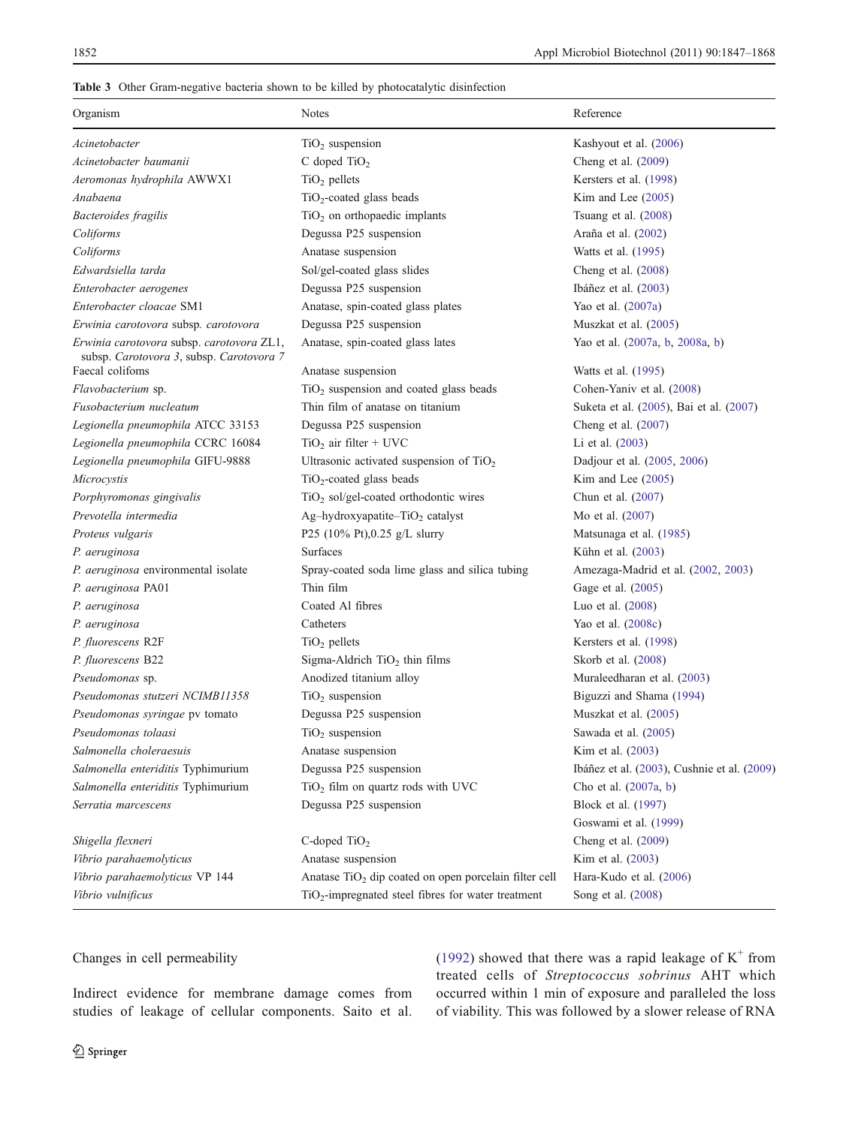#### <span id="page-6-0"></span>Table 3 Other Gram-negative bacteria shown to be killed by photocatalytic disinfection

| Organism                                                                              | <b>Notes</b>                                                      | Reference                                   |
|---------------------------------------------------------------------------------------|-------------------------------------------------------------------|---------------------------------------------|
| Acinetobacter                                                                         | $TiO2$ suspension                                                 | Kashyout et al. (2006)                      |
| Acinetobacter baumanii                                                                | C doped $TiO2$                                                    | Cheng et al. (2009)                         |
| Aeromonas hydrophila AWWX1                                                            | $TiO2$ pellets                                                    | Kersters et al. (1998)                      |
| Anabaena                                                                              | $TiO2$ -coated glass beads                                        | Kim and Lee $(2005)$                        |
| Bacteroides fragilis                                                                  | $TiO2$ on orthopaedic implants                                    | Tsuang et al. $(2008)$                      |
| Coliforms                                                                             | Degussa P25 suspension                                            | Araña et al. (2002)                         |
| Coliforms                                                                             | Anatase suspension                                                | Watts et al. (1995)                         |
| Edwardsiella tarda                                                                    | Sol/gel-coated glass slides                                       | Cheng et al. $(2008)$                       |
| Enterobacter aerogenes                                                                | Degussa P25 suspension                                            | Ibáñez et al. $(2003)$                      |
| Enterobacter cloacae SM1                                                              | Anatase, spin-coated glass plates                                 | Yao et al. (2007a)                          |
| Erwinia carotovora subsp. carotovora                                                  | Degussa P25 suspension                                            | Muszkat et al. (2005)                       |
| Erwinia carotovora subsp. carotovora ZL1,<br>subsp. Carotovora 3, subsp. Carotovora 7 | Anatase, spin-coated glass lates                                  | Yao et al. (2007a, b, 2008a, b)             |
| Faecal colifoms                                                                       | Anatase suspension                                                | Watts et al. (1995)                         |
| Flavobacterium sp.                                                                    | TiO <sub>2</sub> suspension and coated glass beads                | Cohen-Yaniv et al. (2008)                   |
| Fusobacterium nucleatum                                                               | Thin film of anatase on titanium                                  | Suketa et al. (2005), Bai et al. (2007)     |
| Legionella pneumophila ATCC 33153                                                     | Degussa P25 suspension                                            | Cheng et al. $(2007)$                       |
| Legionella pneumophila CCRC 16084                                                     | $TiO2$ air filter + UVC                                           | Li et al. (2003)                            |
| Legionella pneumophila GIFU-9888                                                      | Ultrasonic activated suspension of $TiO2$                         | Dadjour et al. (2005, 2006)                 |
| Microcystis                                                                           | $TiO2$ -coated glass beads                                        | Kim and Lee $(2005)$                        |
| Porphyromonas gingivalis                                                              | $TiO2$ sol/gel-coated orthodontic wires                           | Chun et al. (2007)                          |
| Prevotella intermedia                                                                 | Ag-hydroxyapatite-TiO <sub>2</sub> catalyst                       | Mo et al. (2007)                            |
| Proteus vulgaris                                                                      | P25 (10% Pt), 0.25 g/L slurry                                     | Matsunaga et al. (1985)                     |
| P. aeruginosa                                                                         | <b>Surfaces</b>                                                   | Kühn et al. (2003)                          |
| P. aeruginosa environmental isolate                                                   | Spray-coated soda lime glass and silica tubing                    | Amezaga-Madrid et al. (2002, 2003)          |
| P. aeruginosa PA01                                                                    | Thin film                                                         | Gage et al. (2005)                          |
| P. aeruginosa                                                                         | Coated Al fibres                                                  | Luo et al. (2008)                           |
| P. aeruginosa                                                                         | Catheters                                                         | Yao et al. (2008c)                          |
| P. fluorescens R2F                                                                    | $TiO2$ pellets                                                    | Kersters et al. (1998)                      |
| P. fluorescens B22                                                                    | Sigma-Aldrich $TiO2$ thin films                                   | Skorb et al. (2008)                         |
| Pseudomonas sp.                                                                       | Anodized titanium alloy                                           | Muraleedharan et al. (2003)                 |
| Pseudomonas stutzeri NCIMB11358                                                       | $TiO2$ suspension                                                 | Biguzzi and Shama (1994)                    |
| Pseudomonas syringae pv tomato                                                        | Degussa P25 suspension                                            | Muszkat et al. (2005)                       |
| Pseudomonas tolaasi                                                                   | $TiO2$ suspension                                                 | Sawada et al. (2005)                        |
| Salmonella choleraesuis                                                               | Anatase suspension                                                | Kim et al. (2003)                           |
| Salmonella enteriditis Typhimurium                                                    | Degussa P25 suspension                                            | Ibáñez et al. (2003), Cushnie et al. (2009) |
| Salmonella enteriditis Typhimurium                                                    | $TiO2$ film on quartz rods with UVC                               | Cho et al. (2007a, b)                       |
| Serratia marcescens                                                                   | Degussa P25 suspension                                            | Block et al. (1997)                         |
|                                                                                       |                                                                   | Goswami et al. (1999)                       |
| Shigella flexneri                                                                     | $C$ -doped TiO <sub>2</sub>                                       | Cheng et al. (2009)                         |
| Vibrio parahaemolyticus                                                               | Anatase suspension                                                | Kim et al. (2003)                           |
| Vibrio parahaemolyticus VP 144                                                        | Anatase TiO <sub>2</sub> dip coated on open porcelain filter cell | Hara-Kudo et al. (2006)                     |
| Vibrio vulnificus                                                                     | TiO <sub>2</sub> -impregnated steel fibres for water treatment    | Song et al. (2008)                          |

## Changes in cell permeability

Indirect evidence for membrane damage comes from studies of leakage of cellular components. Saito et al. [\(1992\)](#page-20-0) showed that there was a rapid leakage of  $K^+$  from treated cells of Streptococcus sobrinus AHT which occurred within 1 min of exposure and paralleled the loss of viability. This was followed by a slower release of RNA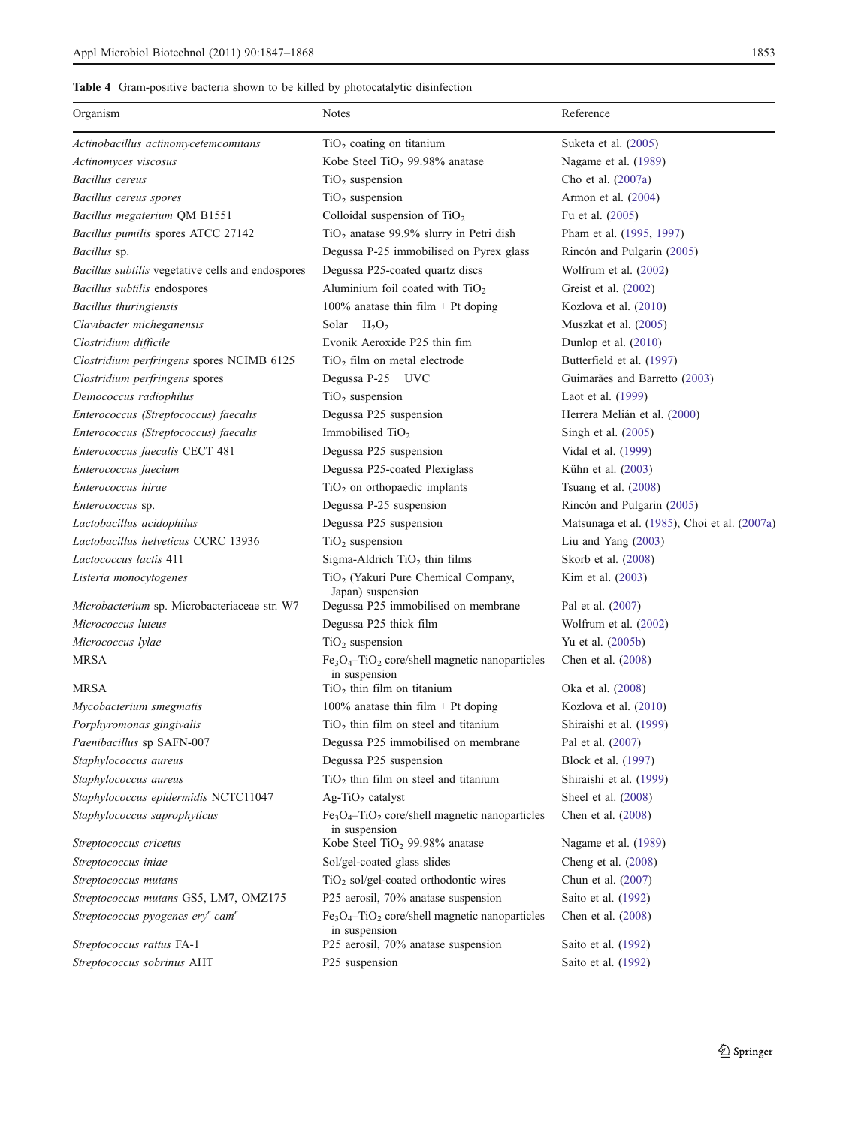## <span id="page-7-0"></span>Table 4 Gram-positive bacteria shown to be killed by photocatalytic disinfection

| Organism                                          | Notes                                                                        | Reference                                    |
|---------------------------------------------------|------------------------------------------------------------------------------|----------------------------------------------|
|                                                   |                                                                              |                                              |
| Actinobacillus actinomycetemcomitans              | $TiO2$ coating on titanium                                                   | Suketa et al. (2005)                         |
| Actinomyces viscosus                              | Kobe Steel TiO <sub>2</sub> 99.98% anatase                                   | Nagame et al. (1989)                         |
| Bacillus cereus                                   | $TiO2$ suspension                                                            | Cho et al. (2007a)                           |
| Bacillus cereus spores                            | $TiO2$ suspension                                                            | Armon et al. $(2004)$                        |
| Bacillus megaterium QM B1551                      | Colloidal suspension of $TiO2$                                               | Fu et al. (2005)                             |
| Bacillus pumilis spores ATCC 27142                | TiO <sub>2</sub> anatase 99.9% slurry in Petri dish                          | Pham et al. (1995, 1997)                     |
| Bacillus sp.                                      | Degussa P-25 immobilised on Pyrex glass                                      | Rincón and Pulgarin (2005)                   |
| Bacillus subtilis vegetative cells and endospores | Degussa P25-coated quartz discs                                              | Wolfrum et al. (2002)                        |
| Bacillus subtilis endospores                      | Aluminium foil coated with $TiO2$                                            | Greist et al. (2002)                         |
| Bacillus thuringiensis                            | 100% anatase thin film $\pm$ Pt doping                                       | Kozlova et al. (2010)                        |
| Clavibacter micheganensis                         | Solar + $H_2O_2$                                                             | Muszkat et al. (2005)                        |
| Clostridium difficile                             | Evonik Aeroxide P25 thin fim                                                 | Dunlop et al. $(2010)$                       |
| Clostridium perfringens spores NCIMB 6125         | $TiO2$ film on metal electrode                                               | Butterfield et al. (1997)                    |
| Clostridium perfringens spores                    | Degussa P-25 + UVC                                                           | Guimarães and Barretto (2003)                |
| Deinococcus radiophilus                           | $TiO2$ suspension                                                            | Laot et al. (1999)                           |
| Enterococcus (Streptococcus) faecalis             | Degussa P25 suspension                                                       | Herrera Melián et al. (2000)                 |
| Enterococcus (Streptococcus) faecalis             | Immobilised $TiO2$                                                           | Singh et al. $(2005)$                        |
| Enterococcus faecalis CECT 481                    | Degussa P25 suspension                                                       | Vidal et al. (1999)                          |
| Enterococcus faecium                              | Degussa P25-coated Plexiglass                                                | Kühn et al. (2003)                           |
| Enterococcus hirae                                | $TiO2$ on orthopaedic implants                                               | Tsuang et al. $(2008)$                       |
| <i>Enterococcus</i> sp.                           | Degussa P-25 suspension                                                      | Rincón and Pulgarin (2005)                   |
| Lactobacillus acidophilus                         | Degussa P25 suspension                                                       | Matsunaga et al. (1985), Choi et al. (2007a) |
| Lactobacillus helveticus CCRC 13936               | $TiO2$ suspension                                                            | Liu and Yang $(2003)$                        |
| Lactococcus lactis 411                            | Sigma-Aldrich $TiO2$ thin films                                              | Skorb et al. (2008)                          |
| Listeria monocytogenes                            | TiO <sub>2</sub> (Yakuri Pure Chemical Company,<br>Japan) suspension         | Kim et al. (2003)                            |
| Microbacterium sp. Microbacteriaceae str. W7      | Degussa P25 immobilised on membrane                                          | Pal et al. (2007)                            |
| Micrococcus luteus                                | Degussa P25 thick film                                                       | Wolfrum et al. $(2002)$                      |
| Micrococcus lylae                                 | $TiO2$ suspension                                                            | Yu et al. (2005b)                            |
| <b>MRSA</b>                                       | $Fe3O4$ -TiO <sub>2</sub> core/shell magnetic nanoparticles<br>in suspension | Chen et al. (2008)                           |
| MRSA                                              | $TiO2$ thin film on titanium                                                 | Oka et al. (2008)                            |
| Mycobacterium smegmatis                           | 100% anatase thin film $\pm$ Pt doping                                       | Kozlova et al. (2010)                        |
| Porphyromonas gingivalis                          | $TiO2$ thin film on steel and titanium                                       | Shiraishi et al. (1999)                      |
| Paenibacillus sp SAFN-007                         | Degussa P25 immobilised on membrane                                          | Pal et al. (2007)                            |
| Staphylococcus aureus                             | Degussa P25 suspension                                                       | Block et al. (1997)                          |
| Staphylococcus aureus                             | $TiO2$ thin film on steel and titanium                                       | Shiraishi et al. (1999)                      |
| Staphylococcus epidermidis NCTC11047              | Ag-TiO <sub>2</sub> catalyst                                                 | Sheel et al. $(2008)$                        |
| Staphylococcus saprophyticus                      | $Fe3O4$ -TiO <sub>2</sub> core/shell magnetic nanoparticles                  | Chen et al. (2008)                           |
| Streptococcus cricetus                            | in suspension<br>Kobe Steel TiO <sub>2</sub> 99.98% anatase                  | Nagame et al. (1989)                         |
| Streptococcus iniae                               | Sol/gel-coated glass slides                                                  | Cheng et al. (2008)                          |
| Streptococcus mutans                              | TiO <sub>2</sub> sol/gel-coated orthodontic wires                            | Chun et al. (2007)                           |
| Streptococcus mutans GS5, LM7, OMZ175             | P25 aerosil, 70% anatase suspension                                          | Saito et al. (1992)                          |
| Streptococcus pyogenes $eryr$ cam <sup>r</sup>    | $Fe3O4$ -TiO <sub>2</sub> core/shell magnetic nanoparticles<br>in suspension | Chen et al. (2008)                           |
| Streptococcus rattus FA-1                         | P25 aerosil, 70% anatase suspension                                          | Saito et al. (1992)                          |
| Streptococcus sobrinus AHT                        | P25 suspension                                                               | Saito et al. (1992)                          |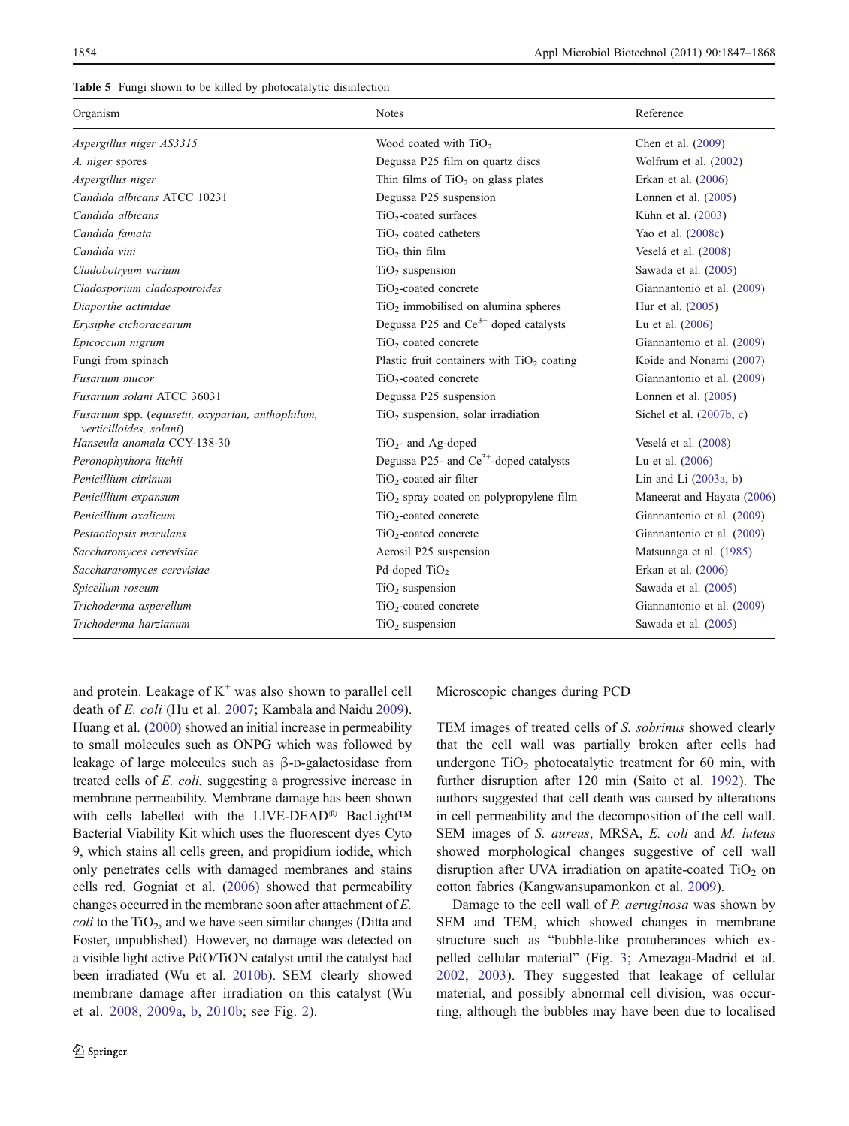<span id="page-8-0"></span>

|  |  |  | Table 5 Fungi shown to be killed by photocatalytic disinfection |  |
|--|--|--|-----------------------------------------------------------------|--|
|--|--|--|-----------------------------------------------------------------|--|

| Organism                                                                     | <b>Notes</b>                                       | Reference                  |
|------------------------------------------------------------------------------|----------------------------------------------------|----------------------------|
| Aspergillus niger AS3315                                                     | Wood coated with TiO <sub>2</sub>                  | Chen et al. (2009)         |
| A. niger spores                                                              | Degussa P25 film on quartz discs                   | Wolfrum et al. (2002)      |
| Aspergillus niger                                                            | Thin films of $TiO2$ on glass plates               | Erkan et al. (2006)        |
| Candida albicans ATCC 10231                                                  | Degussa P25 suspension                             | Lonnen et al. (2005)       |
| Candida albicans                                                             | $TiO2$ -coated surfaces                            | Kühn et al. (2003)         |
| Candida famata                                                               | $TiO2$ coated catheters                            | Yao et al. (2008c)         |
| Candida vini                                                                 | $TiO2$ thin film                                   | Veselá et al. (2008)       |
| Cladobotryum varium                                                          | $TiO2$ suspension                                  | Sawada et al. (2005)       |
| Cladosporium cladospoiroides                                                 | TiO <sub>2</sub> -coated concrete                  | Giannantonio et al. (2009) |
| Diaporthe actinidae                                                          | TiO <sub>2</sub> immobilised on alumina spheres    | Hur et al. (2005)          |
| Erysiphe cichoracearum                                                       | Degussa P25 and $Ce^{3+}$ doped catalysts          | Lu et al. (2006)           |
| Epicoccum nigrum                                                             | TiO <sub>2</sub> coated concrete                   | Giannantonio et al. (2009) |
| Fungi from spinach                                                           | Plastic fruit containers with $TiO2$ coating       | Koide and Nonami (2007)    |
| Fusarium mucor                                                               | TiO <sub>2</sub> -coated concrete                  | Giannantonio et al. (2009) |
| Fusarium solani ATCC 36031                                                   | Degussa P25 suspension                             | Lonnen et al. $(2005)$     |
| Fusarium spp. (equisetii, oxypartan, anthophilum,<br>verticilloides, solani) | $TiO2$ suspension, solar irradiation               | Sichel et al. $(2007b, c)$ |
| Hanseula anomala CCY-138-30                                                  | $TiO2$ - and Ag-doped                              | Veselá et al. (2008)       |
| Peronophythora litchii                                                       | Degussa P25- and Ce <sup>3+</sup> -doped catalysts | Lu et al. $(2006)$         |
| Penicillium citrinum                                                         | $TiO2$ -coated air filter                          | Lin and Li $(2003a, b)$    |
| Penicillium expansum                                                         | $TiO2$ spray coated on polypropylene film          | Maneerat and Hayata (2006) |
| Penicillium oxalicum                                                         | TiO <sub>2</sub> -coated concrete                  | Giannantonio et al. (2009) |
| Pestaotiopsis maculans                                                       | TiO <sub>2</sub> -coated concrete                  | Giannantonio et al. (2009) |
| Saccharomyces cerevisiae                                                     | Aerosil P25 suspension                             | Matsunaga et al. (1985)    |
| Sacchararomyces cerevisiae                                                   | Pd-doped $TiO2$                                    | Erkan et al. (2006)        |
| Spicellum roseum                                                             | $TiO2$ suspension                                  | Sawada et al. (2005)       |
| Trichoderma asperellum                                                       | TiO <sub>2</sub> -coated concrete                  | Giannantonio et al. (2009) |
| Trichoderma harzianum                                                        | $TiO2$ suspension                                  | Sawada et al. (2005)       |

and protein. Leakage of  $K^+$  was also shown to parallel cell death of E. coli (Hu et al. [2007](#page-18-0); Kambala and Naidu [2009\)](#page-18-0). Huang et al. [\(2000\)](#page-18-0) showed an initial increase in permeability to small molecules such as ONPG which was followed by leakage of large molecules such as β-D-galactosidase from treated cells of E. coli, suggesting a progressive increase in membrane permeability. Membrane damage has been shown with cells labelled with the LIVE-DEAD® BacLight™ Bacterial Viability Kit which uses the fluorescent dyes Cyto 9, which stains all cells green, and propidium iodide, which only penetrates cells with damaged membranes and stains cells red. Gogniat et al. [\(2006\)](#page-17-0) showed that permeability changes occurred in the membrane soon after attachment of E.  $\text{coli}$  to the TiO<sub>2</sub>, and we have seen similar changes (Ditta and Foster, unpublished). However, no damage was detected on a visible light active PdO/TiON catalyst until the catalyst had been irradiated (Wu et al. [2010b\)](#page-22-0). SEM clearly showed membrane damage after irradiation on this catalyst (Wu et al. [2008](#page-22-0), [2009a](#page-22-0), [b](#page-22-0), [2010b](#page-22-0); see Fig. [2\)](#page-10-0).

Microscopic changes during PCD

TEM images of treated cells of S. sobrinus showed clearly that the cell wall was partially broken after cells had undergone  $TiO<sub>2</sub>$  photocatalytic treatment for 60 min, with further disruption after 120 min (Saito et al. [1992\)](#page-20-0). The authors suggested that cell death was caused by alterations in cell permeability and the decomposition of the cell wall. SEM images of S. aureus, MRSA, E. coli and M. luteus showed morphological changes suggestive of cell wall disruption after UVA irradiation on apatite-coated  $TiO<sub>2</sub>$  on cotton fabrics (Kangwansupamonkon et al. [2009\)](#page-18-0).

Damage to the cell wall of P. aeruginosa was shown by SEM and TEM, which showed changes in membrane structure such as "bubble-like protuberances which expelled cellular material" (Fig. [3](#page-11-0); Amezaga-Madrid et al. [2002](#page-15-0), [2003\)](#page-15-0). They suggested that leakage of cellular material, and possibly abnormal cell division, was occurring, although the bubbles may have been due to localised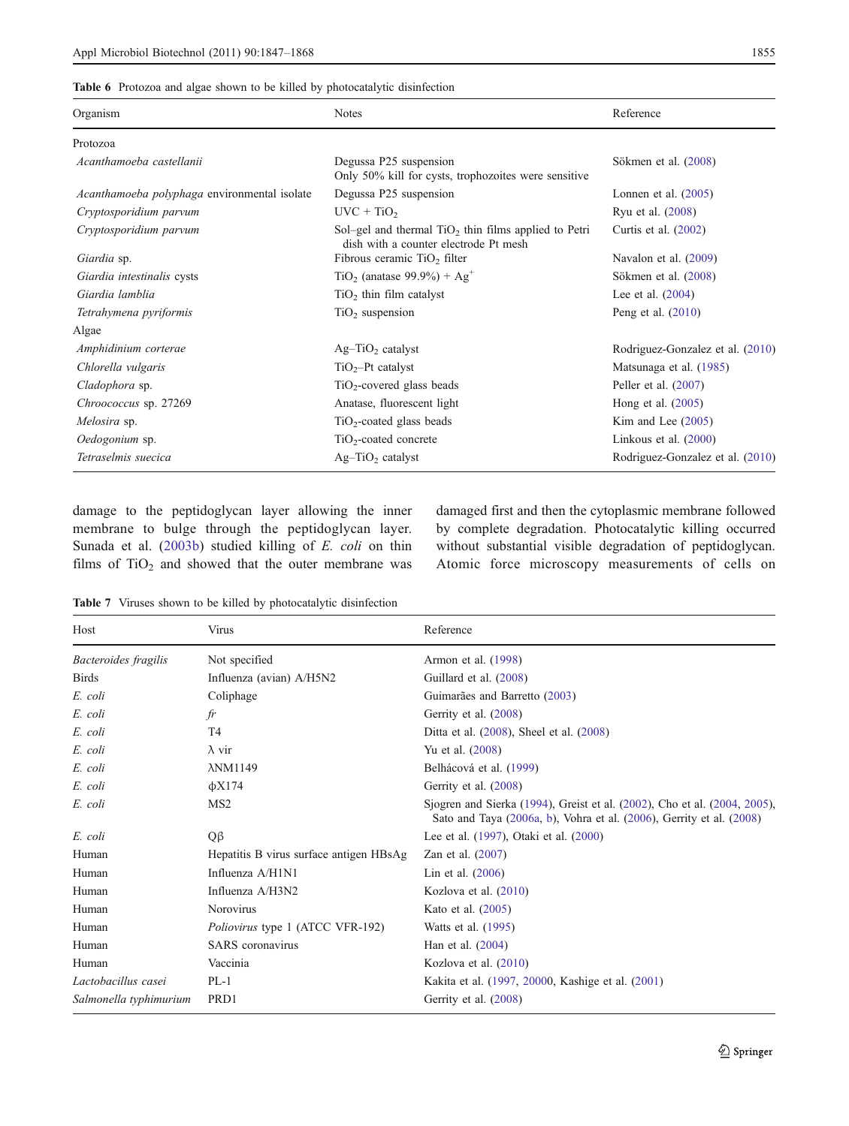<span id="page-9-0"></span>

| Organism                                     | <b>Notes</b>                                                                                    | Reference                        |
|----------------------------------------------|-------------------------------------------------------------------------------------------------|----------------------------------|
| Protozoa                                     |                                                                                                 |                                  |
| Acanthamoeba castellanii                     | Degussa P25 suspension<br>Only 50% kill for cysts, trophozoites were sensitive                  | Sökmen et al. (2008)             |
| Acanthamoeba polyphaga environmental isolate | Degussa P25 suspension                                                                          | Lonnen et al. $(2005)$           |
| Cryptosporidium parvum                       | $UVC + TiO2$                                                                                    | Ryu et al. (2008)                |
| Cryptosporidium parvum                       | Sol-gel and thermal $TiO2$ thin films applied to Petri<br>dish with a counter electrode Pt mesh | Curtis et al. $(2002)$           |
| Giardia sp.                                  | Fibrous ceramic $TiO2$ filter                                                                   | Navalon et al. $(2009)$          |
| Giardia intestinalis cysts                   | $TiO2$ (anatase 99.9%) + Ag <sup>+</sup>                                                        | Sökmen et al. (2008)             |
| Giardia lamblia                              | $TiO2$ thin film catalyst                                                                       | Lee et al. $(2004)$              |
| Tetrahymena pyriformis                       | $TiO2$ suspension                                                                               | Peng et al. $(2010)$             |
| Algae                                        |                                                                                                 |                                  |
| Amphidinium corterae                         | $Ag-TiO2$ catalyst                                                                              | Rodriguez-Gonzalez et al. (2010) |
| Chlorella vulgaris                           | $TiO2-Pt$ catalyst                                                                              | Matsunaga et al. (1985)          |
| Cladophora sp.                               | $TiO2$ -covered glass beads                                                                     | Peller et al. $(2007)$           |
| Chroococcus sp. 27269                        | Anatase, fluorescent light                                                                      | Hong et al. $(2005)$             |
| Melosira sp.                                 | $TiO2$ -coated glass beads                                                                      | Kim and Lee $(2005)$             |
| Oedogonium sp.                               | $TiO2$ -coated concrete                                                                         | Linkous et al. $(2000)$          |
| Tetraselmis suecica                          | $Ag-TiO2$ catalyst                                                                              | Rodriguez-Gonzalez et al. (2010) |
|                                              |                                                                                                 |                                  |

damage to the peptidoglycan layer allowing the inner membrane to bulge through the peptidoglycan layer. Sunada et al. ([2003b\)](#page-21-0) studied killing of E. coli on thin films of  $TiO<sub>2</sub>$  and showed that the outer membrane was damaged first and then the cytoplasmic membrane followed by complete degradation. Photocatalytic killing occurred without substantial visible degradation of peptidoglycan. Atomic force microscopy measurements of cells on

Table 7 Viruses shown to be killed by photocatalytic disinfection

| Host                   | Virus                                   | Reference                                                                                                                                         |
|------------------------|-----------------------------------------|---------------------------------------------------------------------------------------------------------------------------------------------------|
| Bacteroides fragilis   | Not specified                           | Armon et al. (1998)                                                                                                                               |
| <b>Birds</b>           | Influenza (avian) A/H5N2                | Guillard et al. (2008)                                                                                                                            |
| E. coli                | Coliphage                               | Guimarães and Barretto (2003)                                                                                                                     |
| E. coli                | fr                                      | Gerrity et al. (2008)                                                                                                                             |
| E. coli                | T4                                      | Ditta et al. (2008), Sheel et al. (2008)                                                                                                          |
| E. coli                | $\lambda$ vir                           | Yu et al. (2008)                                                                                                                                  |
| E. coli                | $\lambda$ NM1149                        | Belhácová et al. (1999)                                                                                                                           |
| E. coli                | $\phi$ X174                             | Gerrity et al. (2008)                                                                                                                             |
| E. coli                | MS <sub>2</sub>                         | Sjogren and Sierka (1994), Greist et al. (2002), Cho et al. (2004, 2005),<br>Sato and Taya (2006a, b), Vohra et al. (2006), Gerrity et al. (2008) |
| E. coli                | $Q\beta$                                | Lee et al. (1997), Otaki et al. (2000)                                                                                                            |
| Human                  | Hepatitis B virus surface antigen HBsAg | Zan et al. $(2007)$                                                                                                                               |
| Human                  | Influenza A/H1N1                        | Lin et al. $(2006)$                                                                                                                               |
| Human                  | Influenza A/H3N2                        | Kozlova et al. $(2010)$                                                                                                                           |
| Human                  | Norovirus                               | Kato et al. (2005)                                                                                                                                |
| Human                  | Poliovirus type 1 (ATCC VFR-192)        | Watts et al. (1995)                                                                                                                               |
| Human                  | <b>SARS</b> coronavirus                 | Han et al. (2004)                                                                                                                                 |
| Human                  | Vaccinia                                | Kozlova et al. (2010)                                                                                                                             |
| Lactobacillus casei    | $PL-1$                                  | Kakita et al. (1997, 20000, Kashige et al. (2001)                                                                                                 |
| Salmonella typhimurium | PRD <sub>1</sub>                        | Gerrity et al. (2008)                                                                                                                             |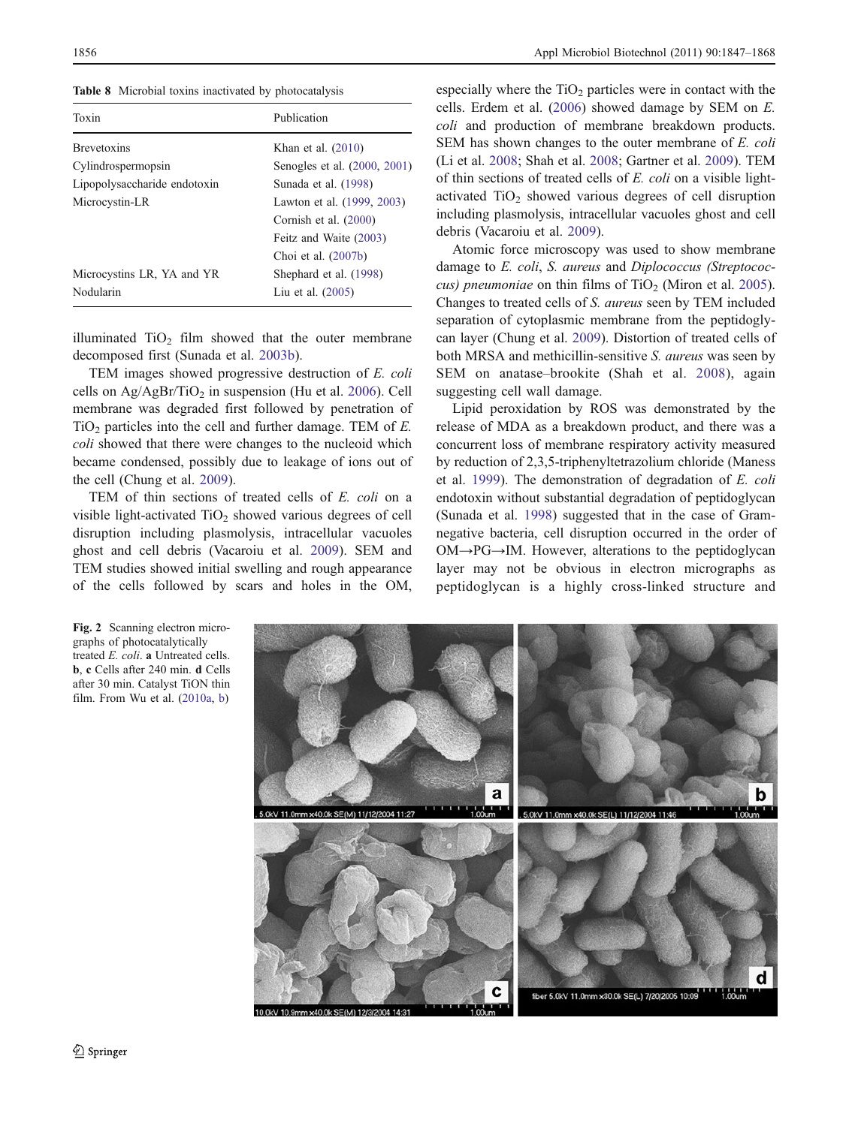<span id="page-10-0"></span>Table 8 Microbial toxins inactivated by photocatalysis

| Toxin                        | Publication                  |  |
|------------------------------|------------------------------|--|
| <b>Brevetoxins</b>           | Khan et al. $(2010)$         |  |
| Cylindrospermopsin           | Senogles et al. (2000, 2001) |  |
| Lipopolysaccharide endotoxin | Sunada et al. (1998)         |  |
| Microcystin-LR               | Lawton et al. (1999, 2003)   |  |
|                              | Cornish et al. (2000)        |  |
|                              | Feitz and Waite (2003)       |  |
|                              | Choi et al. (2007b)          |  |
| Microcystins LR, YA and YR   | Shephard et al. (1998)       |  |
| Nodularin                    | Liu et al. $(2005)$          |  |

illuminated  $TiO<sub>2</sub>$  film showed that the outer membrane decomposed first (Sunada et al. [2003b\)](#page-21-0).

TEM images showed progressive destruction of E. coli cells on  $Ag/AgBr/TiO<sub>2</sub>$  in suspension (Hu et al. [2006](#page-18-0)). Cell membrane was degraded first followed by penetration of  $TiO<sub>2</sub>$  particles into the cell and further damage. TEM of E. coli showed that there were changes to the nucleoid which became condensed, possibly due to leakage of ions out of the cell (Chung et al. [2009](#page-16-0)).

TEM of thin sections of treated cells of E. coli on a visible light-activated  $TiO<sub>2</sub>$  showed various degrees of cell disruption including plasmolysis, intracellular vacuoles ghost and cell debris (Vacaroiu et al. [2009\)](#page-21-0). SEM and TEM studies showed initial swelling and rough appearance of the cells followed by scars and holes in the OM,

especially where the  $TiO<sub>2</sub>$  particles were in contact with the cells. Erdem et al. [\(2006](#page-17-0)) showed damage by SEM on E. coli and production of membrane breakdown products. SEM has shown changes to the outer membrane of E. coli (Li et al. [2008](#page-19-0); Shah et al. [2008;](#page-21-0) Gartner et al. [2009\)](#page-17-0). TEM of thin sections of treated cells of E. coli on a visible lightactivated  $TiO<sub>2</sub>$  showed various degrees of cell disruption including plasmolysis, intracellular vacuoles ghost and cell debris (Vacaroiu et al. [2009](#page-21-0)).

Atomic force microscopy was used to show membrane damage to E. coli, S. aureus and Diplococcus (Streptococ-cus) pneumoniae on thin films of TiO<sub>2</sub> (Miron et al. [2005\)](#page-19-0). Changes to treated cells of S. aureus seen by TEM included separation of cytoplasmic membrane from the peptidoglycan layer (Chung et al. [2009\)](#page-16-0). Distortion of treated cells of both MRSA and methicillin-sensitive S. aureus was seen by SEM on anatase–brookite (Shah et al. [2008](#page-21-0)), again suggesting cell wall damage.

Lipid peroxidation by ROS was demonstrated by the release of MDA as a breakdown product, and there was a concurrent loss of membrane respiratory activity measured by reduction of 2,3,5-triphenyltetrazolium chloride (Maness et al. [1999](#page-19-0)). The demonstration of degradation of E. coli endotoxin without substantial degradation of peptidoglycan (Sunada et al. [1998\)](#page-21-0) suggested that in the case of Gramnegative bacteria, cell disruption occurred in the order of OM→PG→IM. However, alterations to the peptidoglycan layer may not be obvious in electron micrographs as peptidoglycan is a highly cross-linked structure and



Fig. 2 Scanning electron micrographs of photocatalytically treated E. coli. a Untreated cells. b, c Cells after 240 min. d Cells after 30 min. Catalyst TiON thin film. From Wu et al. ([2010a,](#page-22-0) [b\)](#page-22-0)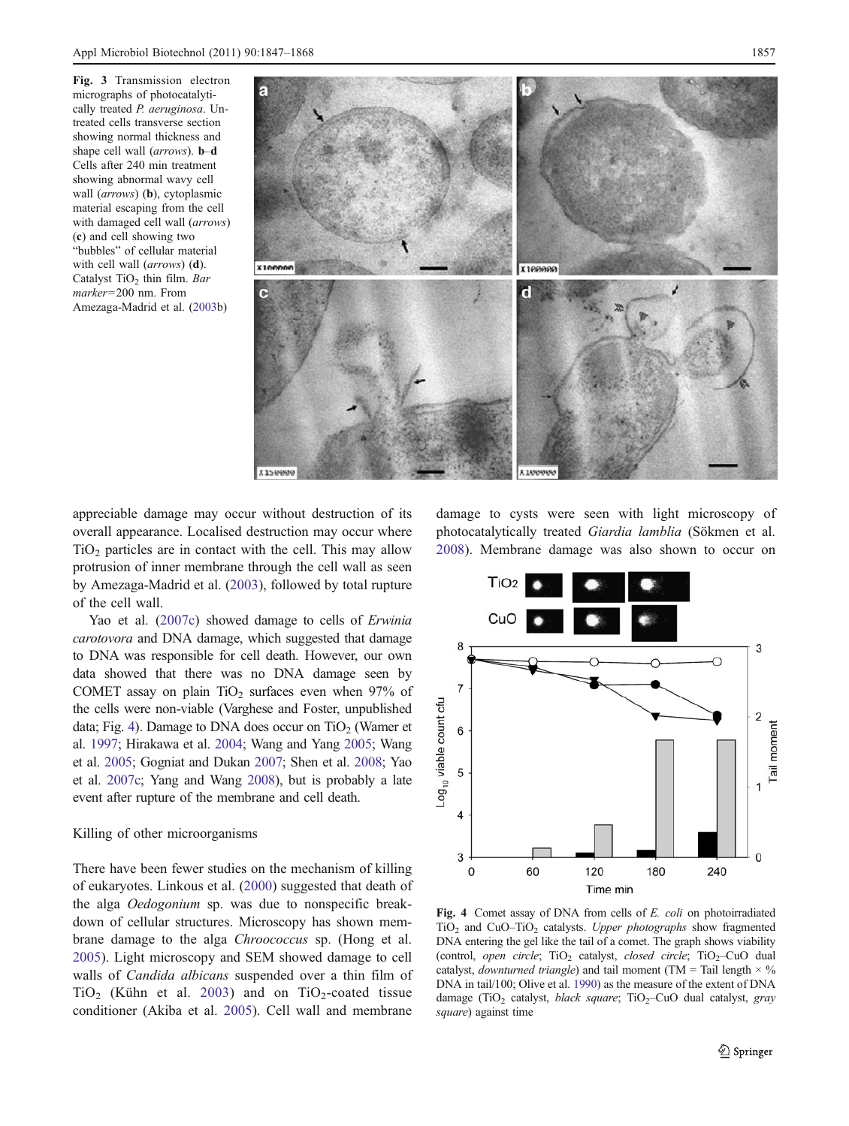<span id="page-11-0"></span>Fig. 3 Transmission electron micrographs of photocatalytically treated P. aeruginosa. Untreated cells transverse section showing normal thickness and shape cell wall (arrows). **b–d** Cells after 240 min treatment showing abnormal wavy cell wall (arrows) (**b**), cytoplasmic material escaping from the cell with damaged cell wall (arrows) (c) and cell showing two "bubbles" of cellular material with cell wall (arrows) (d). Catalyst TiO<sub>2</sub> thin film. Bar marker=200 nm. From Amezaga-Madrid et al. [\(2003](#page-15-0)b)



appreciable damage may occur without destruction of its overall appearance. Localised destruction may occur where  $TiO<sub>2</sub>$  particles are in contact with the cell. This may allow protrusion of inner membrane through the cell wall as seen by Amezaga-Madrid et al. [\(2003](#page-15-0)), followed by total rupture of the cell wall.

Yao et al. [\(2007c\)](#page-22-0) showed damage to cells of Erwinia carotovora and DNA damage, which suggested that damage to DNA was responsible for cell death. However, our own data showed that there was no DNA damage seen by COMET assay on plain  $TiO<sub>2</sub>$  surfaces even when 97% of the cells were non-viable (Varghese and Foster, unpublished data; Fig. 4). Damage to DNA does occur on  $TiO<sub>2</sub>$  (Wamer et al. [1997;](#page-22-0) Hirakawa et al. [2004](#page-17-0); Wang and Yang [2005;](#page-22-0) Wang et al. [2005;](#page-22-0) Gogniat and Dukan [2007](#page-17-0); Shen et al. [2008](#page-21-0); Yao et al. [2007c;](#page-22-0) Yang and Wang [2008\)](#page-22-0), but is probably a late event after rupture of the membrane and cell death.

#### Killing of other microorganisms

There have been fewer studies on the mechanism of killing of eukaryotes. Linkous et al. [\(2000](#page-19-0)) suggested that death of the alga Oedogonium sp. was due to nonspecific breakdown of cellular structures. Microscopy has shown membrane damage to the alga Chroococcus sp. (Hong et al. [2005\)](#page-18-0). Light microscopy and SEM showed damage to cell walls of *Candida albicans* suspended over a thin film of  $TiO<sub>2</sub>$  (Kühn et al. [2003](#page-18-0)) and on  $TiO<sub>2</sub>$ -coated tissue conditioner (Akiba et al. [2005](#page-15-0)). Cell wall and membrane

damage to cysts were seen with light microscopy of photocatalytically treated Giardia lamblia (Sökmen et al. [2008](#page-21-0)). Membrane damage was also shown to occur on



Fig. 4 Comet assay of DNA from cells of E. coli on photoirradiated TiO<sub>2</sub> and CuO–TiO<sub>2</sub> catalysts. Upper photographs show fragmented DNA entering the gel like the tail of a comet. The graph shows viability (control, open circle;  $TiO<sub>2</sub>$  catalyst, closed circle;  $TiO<sub>2</sub>$ -CuO dual catalyst, *downturned triangle*) and tail moment (TM = Tail length  $\times$  % DNA in tail/100; Olive et al. [1990\)](#page-20-0) as the measure of the extent of DNA damage (TiO<sub>2</sub> catalyst, *black square*; TiO<sub>2</sub>–CuO dual catalyst, gray square) against time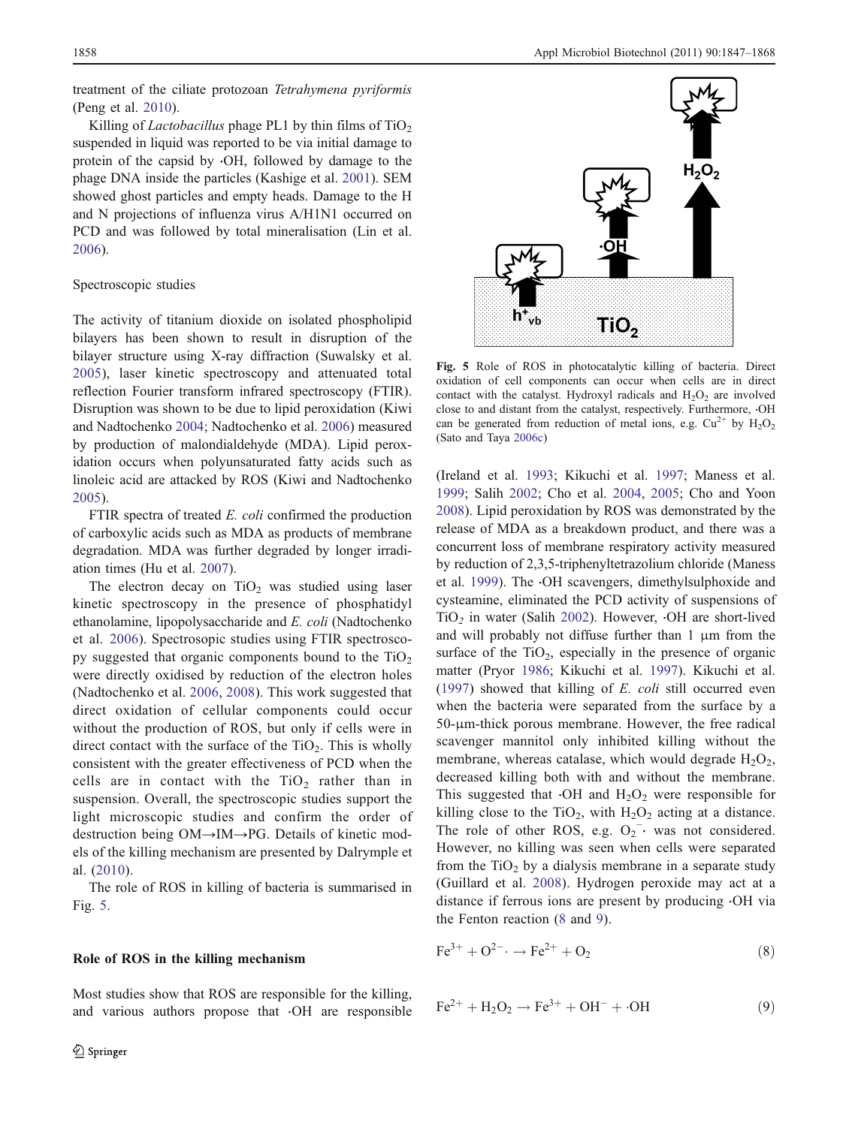<span id="page-12-0"></span>treatment of the ciliate protozoan Tetrahymena pyriformis (Peng et al. [2010\)](#page-20-0).

Killing of *Lactobacillus* phage PL1 by thin films of  $TiO<sub>2</sub>$ suspended in liquid was reported to be via initial damage to protein of the capsid by ⋅OH, followed by damage to the phage DNA inside the particles (Kashige et al. [2001](#page-18-0)). SEM showed ghost particles and empty heads. Damage to the H and N projections of influenza virus A/H1N1 occurred on PCD and was followed by total mineralisation (Lin et al. [2006\)](#page-19-0).

#### Spectroscopic studies

The activity of titanium dioxide on isolated phospholipid bilayers has been shown to result in disruption of the bilayer structure using X-ray diffraction (Suwalsky et al. [2005](#page-21-0)), laser kinetic spectroscopy and attenuated total reflection Fourier transform infrared spectroscopy (FTIR). Disruption was shown to be due to lipid peroxidation (Kiwi and Nadtochenko [2004](#page-18-0); Nadtochenko et al. [2006\)](#page-20-0) measured by production of malondialdehyde (MDA). Lipid peroxidation occurs when polyunsaturated fatty acids such as linoleic acid are attacked by ROS (Kiwi and Nadtochenko [2005\)](#page-18-0).

FTIR spectra of treated E. coli confirmed the production of carboxylic acids such as MDA as products of membrane degradation. MDA was further degraded by longer irradiation times (Hu et al. [2007](#page-18-0)).

The electron decay on  $TiO<sub>2</sub>$  was studied using laser kinetic spectroscopy in the presence of phosphatidyl ethanolamine, lipopolysaccharide and E. coli (Nadtochenko et al. [2006](#page-20-0)). Spectrosopic studies using FTIR spectroscopy suggested that organic components bound to the  $TiO<sub>2</sub>$ were directly oxidised by reduction of the electron holes (Nadtochenko et al. [2006,](#page-20-0) [2008](#page-20-0)). This work suggested that direct oxidation of cellular components could occur without the production of ROS, but only if cells were in direct contact with the surface of the  $TiO<sub>2</sub>$ . This is wholly consistent with the greater effectiveness of PCD when the cells are in contact with the  $TiO<sub>2</sub>$  rather than in suspension. Overall, the spectroscopic studies support the light microscopic studies and confirm the order of destruction being OM→IM→PG. Details of kinetic models of the killing mechanism are presented by Dalrymple et al. [\(2010\)](#page-16-0).

The role of ROS in killing of bacteria is summarised in Fig. 5.

#### Role of ROS in the killing mechanism

Most studies show that ROS are responsible for the killing, and various authors propose that ⋅OH are responsible



Fig. 5 Role of ROS in photocatalytic killing of bacteria. Direct oxidation of cell components can occur when cells are in direct contact with the catalyst. Hydroxyl radicals and  $H_2O_2$  are involved close to and distant from the catalyst, respectively. Furthermore, ⋅OH can be generated from reduction of metal ions, e.g.  $Cu^{2+}$  by  $H_2O_2$ (Sato and Taya [2006c](#page-21-0))

(Ireland et al. [1993;](#page-18-0) Kikuchi et al. [1997;](#page-18-0) Maness et al. [1999](#page-19-0); Salih [2002](#page-21-0); Cho et al. [2004](#page-16-0), [2005;](#page-16-0) Cho and Yoon [2008](#page-16-0)). Lipid peroxidation by ROS was demonstrated by the release of MDA as a breakdown product, and there was a concurrent loss of membrane respiratory activity measured by reduction of 2,3,5-triphenyltetrazolium chloride (Maness et al. [1999\)](#page-19-0). The ⋅OH scavengers, dimethylsulphoxide and cysteamine, eliminated the PCD activity of suspensions of TiO<sub>2</sub> in water (Salih [2002\)](#page-21-0). However, ⋅OH are short-lived and will probably not diffuse further than 1 μm from the surface of the  $TiO<sub>2</sub>$ , especially in the presence of organic matter (Pryor [1986;](#page-20-0) Kikuchi et al. [1997\)](#page-18-0). Kikuchi et al. [\(1997](#page-18-0)) showed that killing of E. coli still occurred even when the bacteria were separated from the surface by a 50-μm-thick porous membrane. However, the free radical scavenger mannitol only inhibited killing without the membrane, whereas catalase, which would degrade  $H_2O_2$ , decreased killing both with and without the membrane. This suggested that  $·OH$  and  $H_2O_2$  were responsible for killing close to the TiO<sub>2</sub>, with  $H_2O_2$  acting at a distance. The role of other ROS, e.g.  $O_2$ <sup>-</sup> was not considered. However, no killing was seen when cells were separated from the  $TiO<sub>2</sub>$  by a dialysis membrane in a separate study (Guillard et al. [2008](#page-17-0)). Hydrogen peroxide may act at a distance if ferrous ions are present by producing ⋅OH via the Fenton reaction (8 and 9).

$$
Fe^{3+} + O^{2-} \to Fe^{2+} + O_2 \tag{8}
$$

$$
Fe^{2+} + H_2O_2 \to Fe^{3+} + OH^- + OH \tag{9}
$$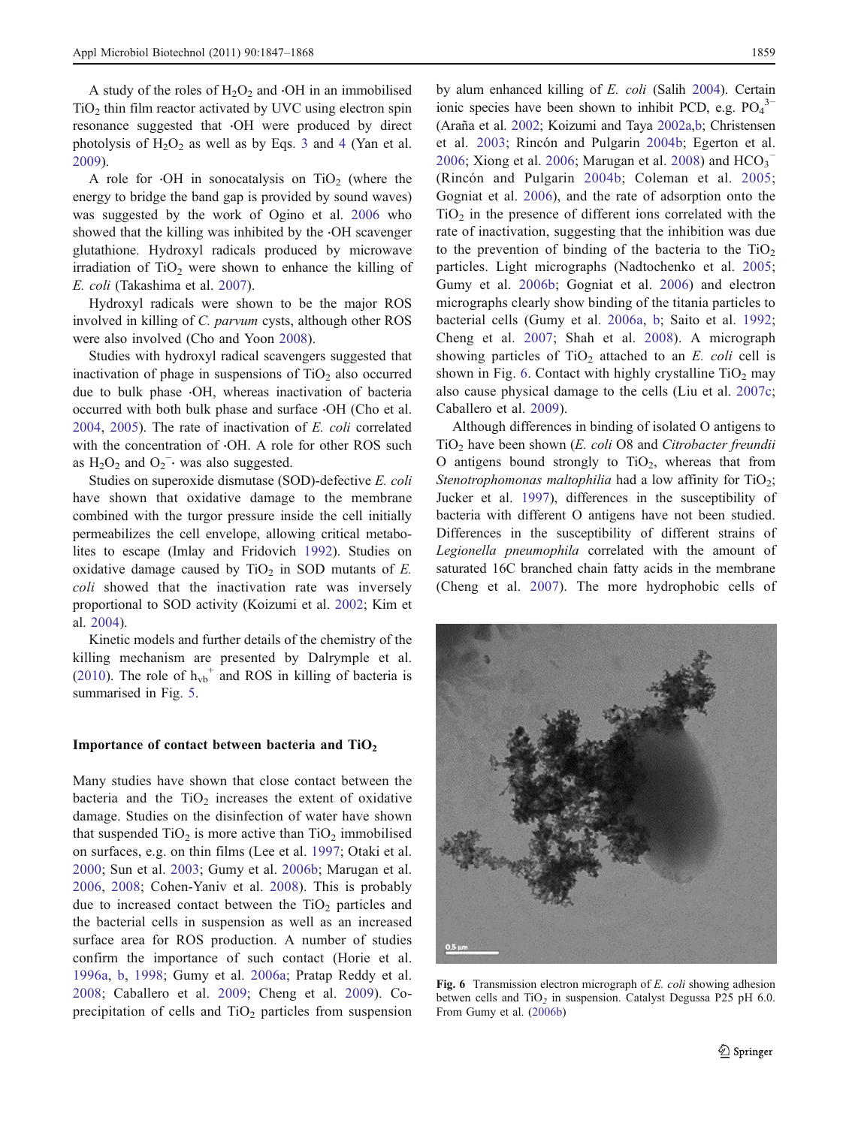A study of the roles of  $H_2O_2$  and  $\cdot$ OH in an immobilised  $TiO<sub>2</sub>$  thin film reactor activated by UVC using electron spin resonance suggested that ⋅OH were produced by direct photolysis of  $H_2O_2$  as well as by Eqs. [3](#page-3-0) and [4](#page-3-0) (Yan et al. [2009\)](#page-22-0).

A role for  $\cdot$ OH in sonocatalysis on TiO<sub>2</sub> (where the energy to bridge the band gap is provided by sound waves) was suggested by the work of Ogino et al. [2006](#page-20-0) who showed that the killing was inhibited by the ⋅OH scavenger glutathione. Hydroxyl radicals produced by microwave irradiation of  $TiO<sub>2</sub>$  were shown to enhance the killing of E. coli (Takashima et al. [2007](#page-21-0)).

Hydroxyl radicals were shown to be the major ROS involved in killing of C. parvum cysts, although other ROS were also involved (Cho and Yoon [2008\)](#page-16-0).

Studies with hydroxyl radical scavengers suggested that inactivation of phage in suspensions of  $TiO<sub>2</sub>$  also occurred due to bulk phase ⋅OH, whereas inactivation of bacteria occurred with both bulk phase and surface ⋅OH (Cho et al. [2004,](#page-16-0) [2005](#page-16-0)). The rate of inactivation of E. coli correlated with the concentration of ⋅OH. A role for other ROS such as  $H_2O_2$  and  $O_2^-$  was also suggested.

Studies on superoxide dismutase (SOD)-defective E. coli have shown that oxidative damage to the membrane combined with the turgor pressure inside the cell initially permeabilizes the cell envelope, allowing critical metabolites to escape (Imlay and Fridovich [1992](#page-18-0)). Studies on oxidative damage caused by  $TiO<sub>2</sub>$  in SOD mutants of E. coli showed that the inactivation rate was inversely proportional to SOD activity (Koizumi et al. [2002](#page-18-0); Kim et al. [2004\)](#page-18-0).

Kinetic models and further details of the chemistry of the killing mechanism are presented by Dalrymple et al. [\(2010](#page-16-0)). The role of  $h_{vb}^+$  and ROS in killing of bacteria is summarised in Fig. [5](#page-12-0).

#### Importance of contact between bacteria and  $TiO<sub>2</sub>$

Many studies have shown that close contact between the bacteria and the  $TiO<sub>2</sub>$  increases the extent of oxidative damage. Studies on the disinfection of water have shown that suspended  $TiO<sub>2</sub>$  is more active than  $TiO<sub>2</sub>$  immobilised on surfaces, e.g. on thin films (Lee et al. [1997;](#page-19-0) Otaki et al. [2000](#page-20-0); Sun et al. [2003](#page-21-0); Gumy et al. [2006b](#page-17-0); Marugan et al. [2006](#page-19-0), [2008;](#page-19-0) Cohen-Yaniv et al. [2008\)](#page-16-0). This is probably due to increased contact between the  $TiO<sub>2</sub>$  particles and the bacterial cells in suspension as well as an increased surface area for ROS production. A number of studies confirm the importance of such contact (Horie et al. [1996a,](#page-18-0) [b,](#page-18-0) [1998;](#page-18-0) Gumy et al. [2006a;](#page-17-0) Pratap Reddy et al. [2008](#page-20-0); Caballero et al. [2009](#page-15-0); Cheng et al. [2009\)](#page-16-0). Coprecipitation of cells and  $TiO<sub>2</sub>$  particles from suspension by alum enhanced killing of E. coli (Salih [2004](#page-21-0)). Certain ionic species have been shown to inhibit PCD, e.g.  $PO_4^3$ (Araña et al. [2002;](#page-15-0) Koizumi and Taya [2002a](#page-18-0),[b;](#page-18-0) Christensen et al. [2003;](#page-16-0) Rincón and Pulgarin [2004b](#page-20-0); Egerton et al. [2006](#page-22-0); Xiong et al. 2006; Marugan et al. [2008](#page-19-0)) and  $HCO<sub>3</sub>$ <sup>-</sup> (Rincón and Pulgarin [2004b](#page-20-0); Coleman et al. [2005;](#page-16-0) Gogniat et al. [2006\)](#page-17-0), and the rate of adsorption onto the  $TiO<sub>2</sub>$  in the presence of different ions correlated with the rate of inactivation, suggesting that the inhibition was due to the prevention of binding of the bacteria to the  $TiO<sub>2</sub>$ particles. Light micrographs (Nadtochenko et al. [2005;](#page-20-0) Gumy et al. [2006b;](#page-17-0) Gogniat et al. [2006](#page-17-0)) and electron micrographs clearly show binding of the titania particles to bacterial cells (Gumy et al. [2006a](#page-17-0), [b](#page-17-0); Saito et al. [1992;](#page-20-0) Cheng et al. [2007](#page-16-0); Shah et al. [2008\)](#page-21-0). A micrograph showing particles of  $TiO<sub>2</sub>$  attached to an E. coli cell is shown in Fig. 6. Contact with highly crystalline  $TiO<sub>2</sub>$  may also cause physical damage to the cells (Liu et al. [2007c;](#page-19-0) Caballero et al. [2009\)](#page-15-0).

Although differences in binding of isolated O antigens to  $TiO<sub>2</sub>$  have been shown (*E. coli* O8 and *Citrobacter freundii* O antigens bound strongly to  $TiO<sub>2</sub>$ , whereas that from Stenotrophomonas maltophilia had a low affinity for  $TiO<sub>2</sub>$ ; Jucker et al. [1997\)](#page-18-0), differences in the susceptibility of bacteria with different O antigens have not been studied. Differences in the susceptibility of different strains of Legionella pneumophila correlated with the amount of saturated 16C branched chain fatty acids in the membrane (Cheng et al. [2007](#page-16-0)). The more hydrophobic cells of



Fig. 6 Transmission electron micrograph of E. coli showing adhesion betwen cells and  $TiO<sub>2</sub>$  in suspension. Catalyst Degussa P25 pH 6.0. From Gumy et al. [\(2006b\)](#page-17-0)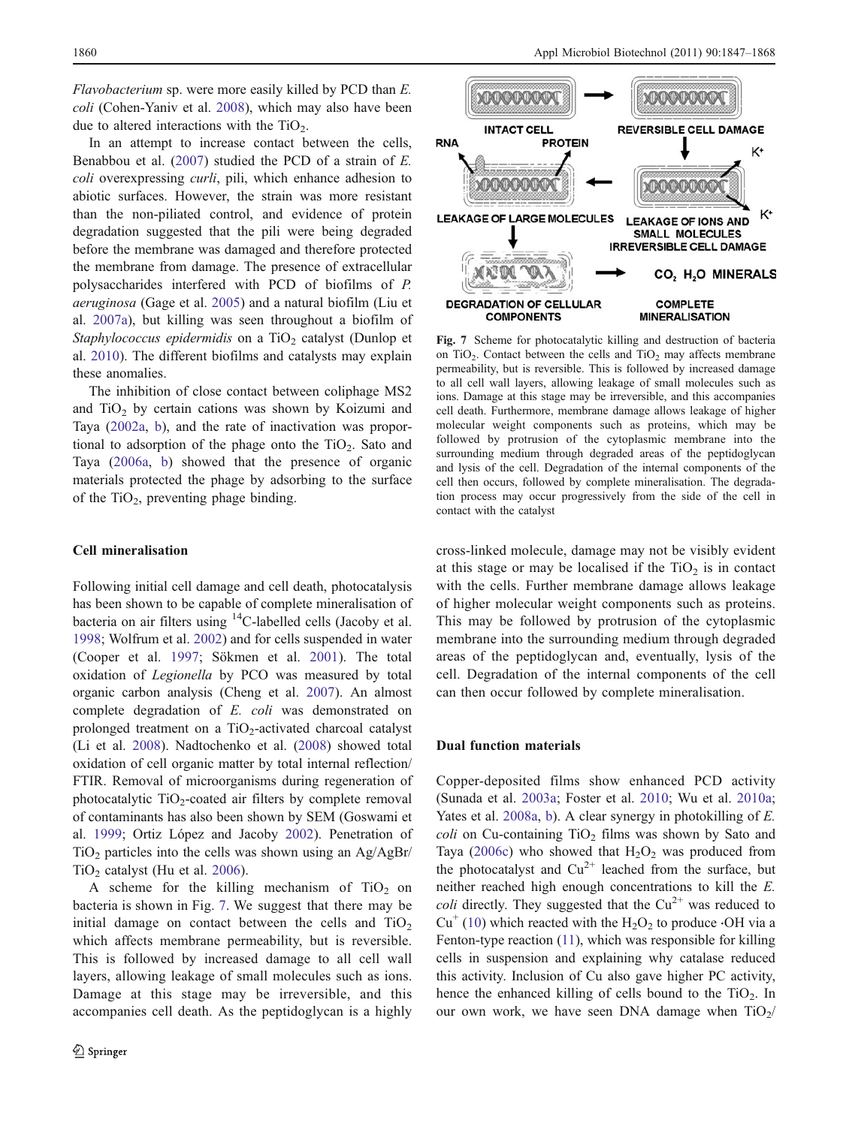Flavobacterium sp. were more easily killed by PCD than E. coli (Cohen-Yaniv et al. [2008\)](#page-16-0), which may also have been due to altered interactions with the  $TiO<sub>2</sub>$ .

In an attempt to increase contact between the cells, Benabbou et al. [\(2007](#page-15-0)) studied the PCD of a strain of E. coli overexpressing *curli*, pili, which enhance adhesion to abiotic surfaces. However, the strain was more resistant than the non-piliated control, and evidence of protein degradation suggested that the pili were being degraded before the membrane was damaged and therefore protected the membrane from damage. The presence of extracellular polysaccharides interfered with PCD of biofilms of P. aeruginosa (Gage et al. [2005\)](#page-17-0) and a natural biofilm (Liu et al. [2007a\)](#page-19-0), but killing was seen throughout a biofilm of Staphylococcus epidermidis on a  $TiO<sub>2</sub>$  catalyst (Dunlop et al. [2010\)](#page-17-0). The different biofilms and catalysts may explain these anomalies.

The inhibition of close contact between coliphage MS2 and  $TiO<sub>2</sub>$  by certain cations was shown by Koizumi and Taya ([2002a,](#page-18-0) [b](#page-18-0)), and the rate of inactivation was proportional to adsorption of the phage onto the  $TiO<sub>2</sub>$ . Sato and Taya ([2006a](#page-21-0), [b](#page-21-0)) showed that the presence of organic materials protected the phage by adsorbing to the surface of the TiO<sub>2</sub>, preventing phage binding.

#### Cell mineralisation

Following initial cell damage and cell death, photocatalysis has been shown to be capable of complete mineralisation of bacteria on air filters using <sup>14</sup>C-labelled cells (Jacoby et al. [1998;](#page-18-0) Wolfrum et al. [2002\)](#page-22-0) and for cells suspended in water (Cooper et al. [1997;](#page-16-0) Sökmen et al. [2001\)](#page-21-0). The total oxidation of Legionella by PCO was measured by total organic carbon analysis (Cheng et al. [2007\)](#page-16-0). An almost complete degradation of E. coli was demonstrated on prolonged treatment on a  $TiO<sub>2</sub>$ -activated charcoal catalyst (Li et al. [2008\)](#page-19-0). Nadtochenko et al. [\(2008](#page-20-0)) showed total oxidation of cell organic matter by total internal reflection/ FTIR. Removal of microorganisms during regeneration of photocatalytic  $TiO<sub>2</sub>$ -coated air filters by complete removal of contaminants has also been shown by SEM (Goswami et al. [1999;](#page-17-0) Ortiz López and Jacoby [2002](#page-20-0)). Penetration of TiO<sub>2</sub> particles into the cells was shown using an  $\text{Ag/AgBr}/$  $TiO<sub>2</sub>$  catalyst (Hu et al. [2006\)](#page-18-0).

A scheme for the killing mechanism of  $TiO<sub>2</sub>$  on bacteria is shown in Fig. 7. We suggest that there may be initial damage on contact between the cells and  $TiO<sub>2</sub>$ which affects membrane permeability, but is reversible. This is followed by increased damage to all cell wall layers, allowing leakage of small molecules such as ions. Damage at this stage may be irreversible, and this accompanies cell death. As the peptidoglycan is a highly



Fig. 7 Scheme for photocatalytic killing and destruction of bacteria on  $TiO<sub>2</sub>$ . Contact between the cells and  $TiO<sub>2</sub>$  may affects membrane permeability, but is reversible. This is followed by increased damage to all cell wall layers, allowing leakage of small molecules such as ions. Damage at this stage may be irreversible, and this accompanies cell death. Furthermore, membrane damage allows leakage of higher molecular weight components such as proteins, which may be followed by protrusion of the cytoplasmic membrane into the surrounding medium through degraded areas of the peptidoglycan and lysis of the cell. Degradation of the internal components of the cell then occurs, followed by complete mineralisation. The degradation process may occur progressively from the side of the cell in contact with the catalyst

cross-linked molecule, damage may not be visibly evident at this stage or may be localised if the  $TiO<sub>2</sub>$  is in contact with the cells. Further membrane damage allows leakage of higher molecular weight components such as proteins. This may be followed by protrusion of the cytoplasmic membrane into the surrounding medium through degraded areas of the peptidoglycan and, eventually, lysis of the cell. Degradation of the internal components of the cell can then occur followed by complete mineralisation.

#### Dual function materials

Copper-deposited films show enhanced PCD activity (Sunada et al. [2003a;](#page-21-0) Foster et al. [2010](#page-17-0); Wu et al. [2010a;](#page-22-0) Yates et al. [2008a](#page-22-0), [b\)](#page-22-0). A clear synergy in photokilling of E. coli on Cu-containing  $TiO<sub>2</sub>$  films was shown by Sato and Taya ([2006c\)](#page-21-0) who showed that  $H_2O_2$  was produced from the photocatalyst and  $Cu^{2+}$  leached from the surface, but neither reached high enough concentrations to kill the E. *coli* directly. They suggested that the  $Cu^{2+}$  was reduced to  $Cu^+(10)$  $Cu^+(10)$  which reacted with the H<sub>2</sub>O<sub>2</sub> to produce  $·OH$  via a Fenton-type reaction [\(11\)](#page-15-0), which was responsible for killing cells in suspension and explaining why catalase reduced this activity. Inclusion of Cu also gave higher PC activity, hence the enhanced killing of cells bound to the  $TiO<sub>2</sub>$ . In our own work, we have seen DNA damage when  $TiO<sub>2</sub>/$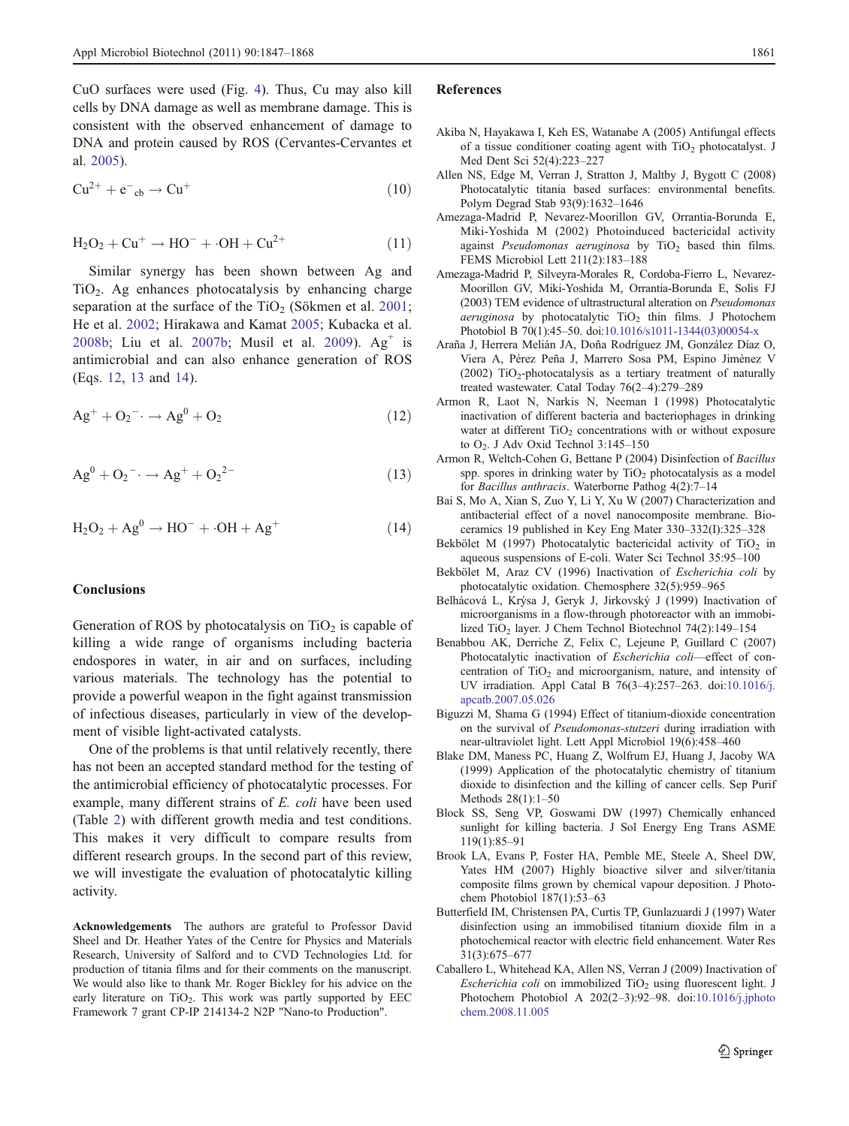<span id="page-15-0"></span>CuO surfaces were used (Fig. [4](#page-11-0)). Thus, Cu may also kill cells by DNA damage as well as membrane damage. This is consistent with the observed enhancement of damage to DNA and protein caused by ROS (Cervantes-Cervantes et al. [2005\)](#page-16-0).

$$
Cu^{2+} + e^-cb \rightarrow Cu^+
$$
 (10)

$$
H_2O_2 + Cu^+ \rightarrow HO^- + \cdot OH + Cu^{2+}
$$
 (11)

Similar synergy has been shown between Ag and  $TiO<sub>2</sub>$ . Ag enhances photocatalysis by enhancing charge separation at the surface of the  $TiO<sub>2</sub>$  (Sökmen et al. [2001](#page-21-0); He et al. [2002](#page-17-0); Hirakawa and Kamat [2005;](#page-17-0) Kubacka et al. [2008b](#page-18-0); Liu et al. [2007b;](#page-19-0) Musil et al. [2009\)](#page-19-0).  $Ag<sup>+</sup>$  is antimicrobial and can also enhance generation of ROS (Eqs. 12, 13 and 14).

$$
Ag^+ + O_2^- \to Ag^0 + O_2 \tag{12}
$$

$$
Ag^{0} + O_{2}^{-} \rightarrow Ag^{+} + O_{2}^{2-}
$$
 (13)

$$
H_2O_2 + Ag^0 \rightarrow HO^- + \cdot OH + Ag^+ \tag{14}
$$

#### **Conclusions**

Generation of ROS by photocatalysis on  $TiO<sub>2</sub>$  is capable of killing a wide range of organisms including bacteria endospores in water, in air and on surfaces, including various materials. The technology has the potential to provide a powerful weapon in the fight against transmission of infectious diseases, particularly in view of the development of visible light-activated catalysts.

One of the problems is that until relatively recently, there has not been an accepted standard method for the testing of the antimicrobial efficiency of photocatalytic processes. For example, many different strains of E. coli have been used (Table [2\)](#page-5-0) with different growth media and test conditions. This makes it very difficult to compare results from different research groups. In the second part of this review, we will investigate the evaluation of photocatalytic killing activity.

Acknowledgements The authors are grateful to Professor David Sheel and Dr. Heather Yates of the Centre for Physics and Materials Research, University of Salford and to CVD Technologies Ltd. for production of titania films and for their comments on the manuscript. We would also like to thank Mr. Roger Bickley for his advice on the early literature on  $TiO<sub>2</sub>$ . This work was partly supported by EEC Framework 7 grant CP-IP 214134-2 N2P "Nano-to Production".

#### References

- Akiba N, Hayakawa I, Keh ES, Watanabe A (2005) Antifungal effects of a tissue conditioner coating agent with  $TiO<sub>2</sub>$  photocatalyst. J Med Dent Sci 52(4):223–227
- Allen NS, Edge M, Verran J, Stratton J, Maltby J, Bygott C (2008) Photocatalytic titania based surfaces: environmental benefits. Polym Degrad Stab 93(9):1632–1646
- Amezaga-Madrid P, Nevarez-Moorillon GV, Orrantia-Borunda E, Miki-Yoshida M (2002) Photoinduced bactericidal activity against Pseudomonas aeruginosa by  $TiO<sub>2</sub>$  based thin films. FEMS Microbiol Lett 211(2):183–188
- Amezaga-Madrid P, Silveyra-Morales R, Cordoba-Fierro L, Nevarez-Moorillon GV, Miki-Yoshida M, Orrantia-Borunda E, Solis FJ (2003) TEM evidence of ultrastructural alteration on Pseudomonas  $a$ eruginosa by photocatalytic TiO<sub>2</sub> thin films. J Photochem Photobiol B 70(1):45–50. doi[:10.1016/s1011-1344\(03\)00054-x](http://dx.doi.org/10.1016/s1011-1344(03)00054-x)
- Araña J, Herrera Melián JA, Doña Rodríguez JM, González Díaz O, Viera A, Pérez Peña J, Marrero Sosa PM, Espino Jiménez V (2002) TiO<sub>2</sub>-photocatalysis as a tertiary treatment of naturally treated wastewater. Catal Today 76(2–4):279–289
- Armon R, Laot N, Narkis N, Neeman I (1998) Photocatalytic inactivation of different bacteria and bacteriophages in drinking water at different  $TiO<sub>2</sub>$  concentrations with or without exposure to O<sub>2</sub>. J Adv Oxid Technol 3:145–150
- Armon R, Weltch-Cohen G, Bettane P (2004) Disinfection of Bacillus spp. spores in drinking water by  $TiO<sub>2</sub>$  photocatalysis as a model for Bacillus anthracis. Waterborne Pathog 4(2):7–14
- Bai S, Mo A, Xian S, Zuo Y, Li Y, Xu W (2007) Characterization and antibacterial effect of a novel nanocomposite membrane. Bioceramics 19 published in Key Eng Mater 330–332(I):325–328
- Bekbölet M (1997) Photocatalytic bactericidal activity of  $TiO<sub>2</sub>$  in aqueous suspensions of E-coli. Water Sci Technol 35:95–100
- Bekbölet M, Araz CV (1996) Inactivation of Escherichia coli by photocatalytic oxidation. Chemosphere 32(5):959–965
- Belhácová L, Krýsa J, Geryk J, Jirkovský J (1999) Inactivation of microorganisms in a flow-through photoreactor with an immobilized TiO<sub>2</sub> layer. J Chem Technol Biotechnol 74(2):149–154
- Benabbou AK, Derriche Z, Felix C, Lejeune P, Guillard C (2007) Photocatalytic inactivation of Escherichia coli—effect of concentration of  $TiO<sub>2</sub>$  and microorganism, nature, and intensity of UV irradiation. Appl Catal B 76(3–4):257–263. doi[:10.1016/j.](http://dx.doi.org/10.1016/j.apcatb.2007.05.026) [apcatb.2007.05.026](http://dx.doi.org/10.1016/j.apcatb.2007.05.026)
- Biguzzi M, Shama G (1994) Effect of titanium-dioxide concentration on the survival of Pseudomonas-stutzeri during irradiation with near-ultraviolet light. Lett Appl Microbiol 19(6):458–460
- Blake DM, Maness PC, Huang Z, Wolfrum EJ, Huang J, Jacoby WA (1999) Application of the photocatalytic chemistry of titanium dioxide to disinfection and the killing of cancer cells. Sep Purif Methods 28(1):1–50
- Block SS, Seng VP, Goswami DW (1997) Chemically enhanced sunlight for killing bacteria. J Sol Energy Eng Trans ASME 119(1):85–91
- Brook LA, Evans P, Foster HA, Pemble ME, Steele A, Sheel DW, Yates HM (2007) Highly bioactive silver and silver/titania composite films grown by chemical vapour deposition. J Photochem Photobiol 187(1):53–63
- Butterfield IM, Christensen PA, Curtis TP, Gunlazuardi J (1997) Water disinfection using an immobilised titanium dioxide film in a photochemical reactor with electric field enhancement. Water Res 31(3):675–677
- Caballero L, Whitehead KA, Allen NS, Verran J (2009) Inactivation of  $Escherichia coli$  on immobilized TiO<sub>2</sub> using fluorescent light. J Photochem Photobiol A 202(2–3):92–98. doi[:10.1016/j.jphoto](http://dx.doi.org/10.1016/j.jphotochem.2008.11.005) [chem.2008.11.005](http://dx.doi.org/10.1016/j.jphotochem.2008.11.005)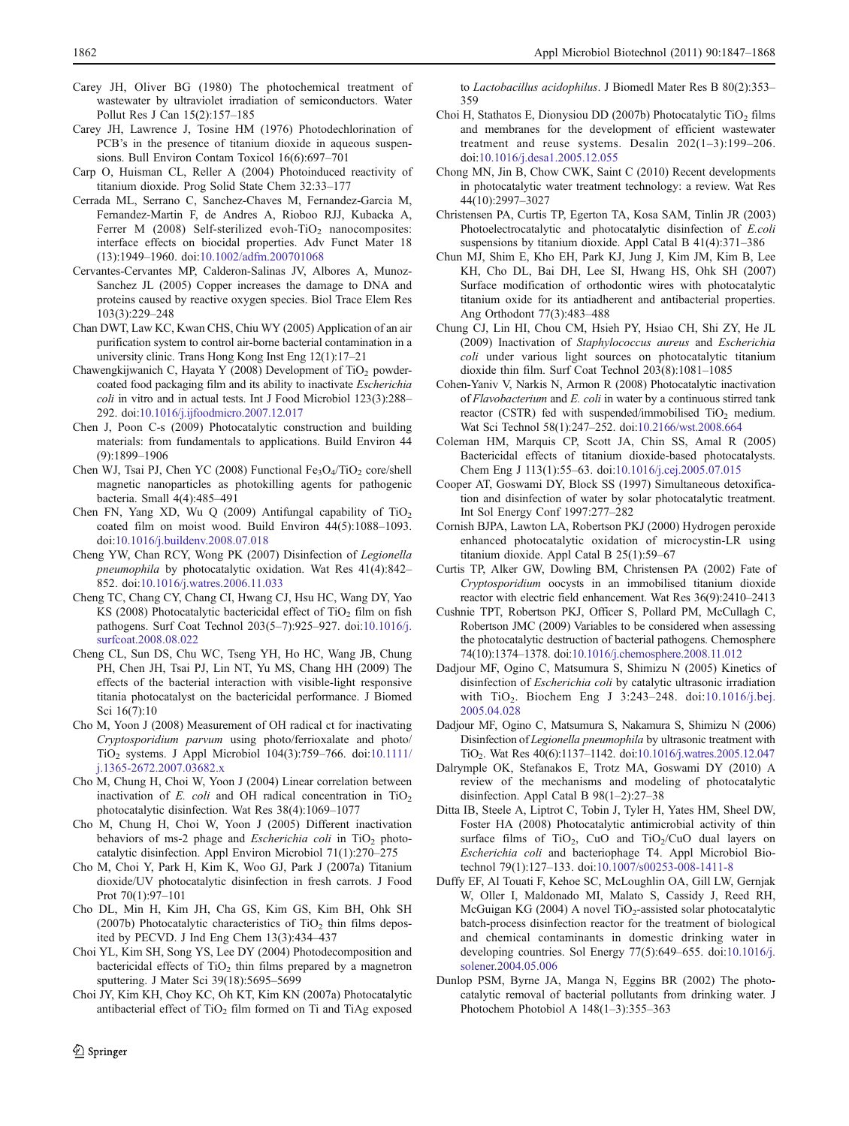- <span id="page-16-0"></span>Carey JH, Oliver BG (1980) The photochemical treatment of wastewater by ultraviolet irradiation of semiconductors. Water Pollut Res J Can 15(2):157–185
- Carey JH, Lawrence J, Tosine HM (1976) Photodechlorination of PCB's in the presence of titanium dioxide in aqueous suspensions. Bull Environ Contam Toxicol 16(6):697–701
- Carp O, Huisman CL, Reller A (2004) Photoinduced reactivity of titanium dioxide. Prog Solid State Chem 32:33–177
- Cerrada ML, Serrano C, Sanchez-Chaves M, Fernandez-Garcia M, Fernandez-Martin F, de Andres A, Rioboo RJJ, Kubacka A, Ferrer M  $(2008)$  Self-sterilized evoh-TiO<sub>2</sub> nanocomposites: interface effects on biocidal properties. Adv Funct Mater 18 (13):1949–1960. doi[:10.1002/adfm.200701068](http://dx.doi.org/10.1002/adfm.200701068)
- Cervantes-Cervantes MP, Calderon-Salinas JV, Albores A, Munoz-Sanchez JL (2005) Copper increases the damage to DNA and proteins caused by reactive oxygen species. Biol Trace Elem Res 103(3):229–248
- Chan DWT, Law KC, Kwan CHS, Chiu WY (2005) Application of an air purification system to control air-borne bacterial contamination in a university clinic. Trans Hong Kong Inst Eng 12(1):17–21
- Chawengkijwanich C, Hayata Y (2008) Development of TiO<sub>2</sub> powdercoated food packaging film and its ability to inactivate Escherichia coli in vitro and in actual tests. Int J Food Microbiol 123(3):288– 292. doi[:10.1016/j.ijfoodmicro.2007.12.017](http://dx.doi.org/10.1016/j.ijfoodmicro.2007.12.017)
- Chen J, Poon C-s (2009) Photocatalytic construction and building materials: from fundamentals to applications. Build Environ 44 (9):1899–1906
- Chen WJ, Tsai PJ, Chen YC (2008) Functional  $Fe<sub>3</sub>O<sub>4</sub>/TiO<sub>2</sub> core/shell$ magnetic nanoparticles as photokilling agents for pathogenic bacteria. Small 4(4):485–491
- Chen FN, Yang XD, Wu Q (2009) Antifungal capability of  $TiO<sub>2</sub>$ coated film on moist wood. Build Environ 44(5):1088–1093. doi[:10.1016/j.buildenv.2008.07.018](http://dx.doi.org/10.1016/j.buildenv.2008.07.018)
- Cheng YW, Chan RCY, Wong PK (2007) Disinfection of Legionella pneumophila by photocatalytic oxidation. Wat Res 41(4):842– 852. doi:[10.1016/j.watres.2006.11.033](http://dx.doi.org/10.1016/j.watres.2006.11.033)
- Cheng TC, Chang CY, Chang CI, Hwang CJ, Hsu HC, Wang DY, Yao KS (2008) Photocatalytic bactericidal effect of  $TiO<sub>2</sub>$  film on fish pathogens. Surf Coat Technol 203(5–7):925–927. doi:[10.1016/j.](http://dx.doi.org/10.1016/j.surfcoat.2008.08.022) [surfcoat.2008.08.022](http://dx.doi.org/10.1016/j.surfcoat.2008.08.022)
- Cheng CL, Sun DS, Chu WC, Tseng YH, Ho HC, Wang JB, Chung PH, Chen JH, Tsai PJ, Lin NT, Yu MS, Chang HH (2009) The effects of the bacterial interaction with visible-light responsive titania photocatalyst on the bactericidal performance. J Biomed Sci 16(7):10
- Cho M, Yoon J (2008) Measurement of OH radical ct for inactivating Cryptosporidium parvum using photo/ferrioxalate and photo/ TiO2 systems. J Appl Microbiol 104(3):759–766. doi[:10.1111/](http://dx.doi.org/10.1111/j.1365-2672.2007.03682.x) [j.1365-2672.2007.03682.x](http://dx.doi.org/10.1111/j.1365-2672.2007.03682.x)
- Cho M, Chung H, Choi W, Yoon J (2004) Linear correlation between inactivation of E. coli and OH radical concentration in  $TiO<sub>2</sub>$ photocatalytic disinfection. Wat Res 38(4):1069–1077
- Cho M, Chung H, Choi W, Yoon J (2005) Different inactivation behaviors of ms-2 phage and Escherichia coli in  $TiO<sub>2</sub>$  photocatalytic disinfection. Appl Environ Microbiol 71(1):270–275
- Cho M, Choi Y, Park H, Kim K, Woo GJ, Park J (2007a) Titanium dioxide/UV photocatalytic disinfection in fresh carrots. J Food Prot 70(1):97–101
- Cho DL, Min H, Kim JH, Cha GS, Kim GS, Kim BH, Ohk SH (2007b) Photocatalytic characteristics of  $TiO<sub>2</sub>$  thin films deposited by PECVD. J Ind Eng Chem 13(3):434–437
- Choi YL, Kim SH, Song YS, Lee DY (2004) Photodecomposition and bactericidal effects of  $TiO<sub>2</sub>$  thin films prepared by a magnetron sputtering. J Mater Sci 39(18):5695–5699
- Choi JY, Kim KH, Choy KC, Oh KT, Kim KN (2007a) Photocatalytic antibacterial effect of  $TiO<sub>2</sub>$  film formed on Ti and TiAg exposed

to Lactobacillus acidophilus. J Biomedl Mater Res B 80(2):353– 359

- Choi H, Stathatos E, Dionysiou DD (2007b) Photocatalytic TiO<sub>2</sub> films and membranes for the development of efficient wastewater treatment and reuse systems. Desalin 202(1–3):199–206. doi[:10.1016/j.desa1.2005.12.055](http://dx.doi.org/10.1016/j.desa1.2005.12.055)
- Chong MN, Jin B, Chow CWK, Saint C (2010) Recent developments in photocatalytic water treatment technology: a review. Wat Res 44(10):2997–3027
- Christensen PA, Curtis TP, Egerton TA, Kosa SAM, Tinlin JR (2003) Photoelectrocatalytic and photocatalytic disinfection of E.coli suspensions by titanium dioxide. Appl Catal B 41(4):371–386
- Chun MJ, Shim E, Kho EH, Park KJ, Jung J, Kim JM, Kim B, Lee KH, Cho DL, Bai DH, Lee SI, Hwang HS, Ohk SH (2007) Surface modification of orthodontic wires with photocatalytic titanium oxide for its antiadherent and antibacterial properties. Ang Orthodont 77(3):483–488
- Chung CJ, Lin HI, Chou CM, Hsieh PY, Hsiao CH, Shi ZY, He JL (2009) Inactivation of Staphylococcus aureus and Escherichia coli under various light sources on photocatalytic titanium dioxide thin film. Surf Coat Technol 203(8):1081–1085
- Cohen-Yaniv V, Narkis N, Armon R (2008) Photocatalytic inactivation of Flavobacterium and E. coli in water by a continuous stirred tank reactor (CSTR) fed with suspended/immobilised TiO<sub>2</sub> medium. Wat Sci Technol 58(1):247–252. doi[:10.2166/wst.2008.664](http://dx.doi.org/10.2166/wst.2008.664)
- Coleman HM, Marquis CP, Scott JA, Chin SS, Amal R (2005) Bactericidal effects of titanium dioxide-based photocatalysts. Chem Eng J 113(1):55–63. doi[:10.1016/j.cej.2005.07.015](http://dx.doi.org/10.1016/j.cej.2005.07.015)
- Cooper AT, Goswami DY, Block SS (1997) Simultaneous detoxification and disinfection of water by solar photocatalytic treatment. Int Sol Energy Conf 1997:277–282
- Cornish BJPA, Lawton LA, Robertson PKJ (2000) Hydrogen peroxide enhanced photocatalytic oxidation of microcystin-LR using titanium dioxide. Appl Catal B 25(1):59–67
- Curtis TP, Alker GW, Dowling BM, Christensen PA (2002) Fate of Cryptosporidium oocysts in an immobilised titanium dioxide reactor with electric field enhancement. Wat Res 36(9):2410–2413
- Cushnie TPT, Robertson PKJ, Officer S, Pollard PM, McCullagh C, Robertson JMC (2009) Variables to be considered when assessing the photocatalytic destruction of bacterial pathogens. Chemosphere 74(10):1374–1378. doi[:10.1016/j.chemosphere.2008.11.012](http://dx.doi.org/10.1016/j.chemosphere.2008.11.012)
- Dadjour MF, Ogino C, Matsumura S, Shimizu N (2005) Kinetics of disinfection of Escherichia coli by catalytic ultrasonic irradiation with TiO2. Biochem Eng J 3:243–248. doi:[10.1016/j.bej.](http://dx.doi.org/10.1016/j.bej.2005.04.028) [2005.04.028](http://dx.doi.org/10.1016/j.bej.2005.04.028)
- Dadjour MF, Ogino C, Matsumura S, Nakamura S, Shimizu N (2006) Disinfection of Legionella pneumophila by ultrasonic treatment with TiO2. Wat Res 40(6):1137–1142. doi[:10.1016/j.watres.2005.12.047](http://dx.doi.org/10.1016/j.watres.2005.12.047)
- Dalrymple OK, Stefanakos E, Trotz MA, Goswami DY (2010) A review of the mechanisms and modeling of photocatalytic disinfection. Appl Catal B 98(1–2):27–38
- Ditta IB, Steele A, Liptrot C, Tobin J, Tyler H, Yates HM, Sheel DW, Foster HA (2008) Photocatalytic antimicrobial activity of thin surface films of  $TiO<sub>2</sub>$ , CuO and  $TiO<sub>2</sub>/CuO$  dual layers on Escherichia coli and bacteriophage T4. Appl Microbiol Biotechnol 79(1):127–133. doi:[10.1007/s00253-008-1411-8](http://dx.doi.org/10.1007/s00253-008-1411-8)
- Duffy EF, Al Touati F, Kehoe SC, McLoughlin OA, Gill LW, Gernjak W, Oller I, Maldonado MI, Malato S, Cassidy J, Reed RH, McGuigan KG (2004) A novel TiO<sub>2</sub>-assisted solar photocatalytic batch-process disinfection reactor for the treatment of biological and chemical contaminants in domestic drinking water in developing countries. Sol Energy 77(5):649–655. doi[:10.1016/j.](http://dx.doi.org/10.1016/j.solener.2004.05.006) [solener.2004.05.006](http://dx.doi.org/10.1016/j.solener.2004.05.006)
- Dunlop PSM, Byrne JA, Manga N, Eggins BR (2002) The photocatalytic removal of bacterial pollutants from drinking water. J Photochem Photobiol A 148(1–3):355–363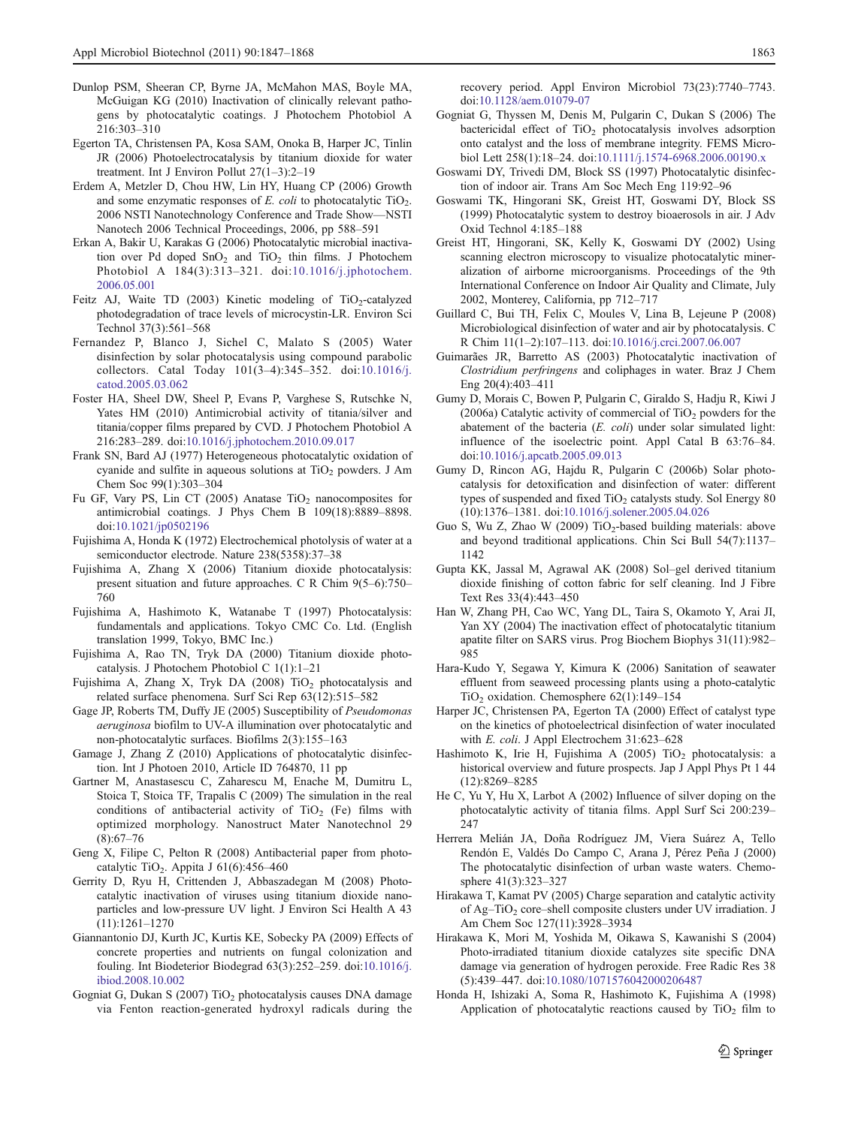- <span id="page-17-0"></span>Dunlop PSM, Sheeran CP, Byrne JA, McMahon MAS, Boyle MA, McGuigan KG (2010) Inactivation of clinically relevant pathogens by photocatalytic coatings. J Photochem Photobiol A 216:303–310
- Egerton TA, Christensen PA, Kosa SAM, Onoka B, Harper JC, Tinlin JR (2006) Photoelectrocatalysis by titanium dioxide for water treatment. Int J Environ Pollut 27(1–3):2–19
- Erdem A, Metzler D, Chou HW, Lin HY, Huang CP (2006) Growth and some enzymatic responses of  $E$ . *coli* to photocatalytic  $TiO<sub>2</sub>$ . 2006 NSTI Nanotechnology Conference and Trade Show—NSTI Nanotech 2006 Technical Proceedings, 2006, pp 588–591
- Erkan A, Bakir U, Karakas G (2006) Photocatalytic microbial inactivation over Pd doped  $SnO<sub>2</sub>$  and  $TiO<sub>2</sub>$  thin films. J Photochem Photobiol A 184(3):313–321. doi:[10.1016/j.jphotochem.](http://dx.doi.org/10.1016/j.jphotochem.2006.05.001) [2006.05.001](http://dx.doi.org/10.1016/j.jphotochem.2006.05.001)
- Feitz AJ, Waite TD  $(2003)$  Kinetic modeling of TiO<sub>2</sub>-catalyzed photodegradation of trace levels of microcystin-LR. Environ Sci Technol 37(3):561–568
- Fernandez P, Blanco J, Sichel C, Malato S (2005) Water disinfection by solar photocatalysis using compound parabolic collectors. Catal Today 101(3–4):345–352. doi:[10.1016/j.](http://dx.doi.org/10.1016/j.catod.2005.03.062) [catod.2005.03.062](http://dx.doi.org/10.1016/j.catod.2005.03.062)
- Foster HA, Sheel DW, Sheel P, Evans P, Varghese S, Rutschke N, Yates HM (2010) Antimicrobial activity of titania/silver and titania/copper films prepared by CVD. J Photochem Photobiol A 216:283–289. doi:[10.1016/j.jphotochem.2010.09.017](http://dx.doi.org/10.1016/j.jphotochem.2010.09.017)
- Frank SN, Bard AJ (1977) Heterogeneous photocatalytic oxidation of cyanide and sulfite in aqueous solutions at  $TiO<sub>2</sub>$  powders. J Am Chem Soc 99(1):303–304
- Fu GF, Vary PS, Lin CT (2005) Anatase  $TiO<sub>2</sub>$  nanocomposites for antimicrobial coatings. J Phys Chem B 109(18):8889–8898. doi[:10.1021/jp0502196](http://dx.doi.org/10.1021/jp0502196)
- Fujishima A, Honda K (1972) Electrochemical photolysis of water at a semiconductor electrode. Nature 238(5358):37–38
- Fujishima A, Zhang X (2006) Titanium dioxide photocatalysis: present situation and future approaches. C R Chim 9(5–6):750– 760
- Fujishima A, Hashimoto K, Watanabe T (1997) Photocatalysis: fundamentals and applications. Tokyo CMC Co. Ltd. (English translation 1999, Tokyo, BMC Inc.)
- Fujishima A, Rao TN, Tryk DA (2000) Titanium dioxide photocatalysis. J Photochem Photobiol C 1(1):1–21
- Fujishima A, Zhang X, Tryk DA (2008)  $TiO<sub>2</sub>$  photocatalysis and related surface phenomena. Surf Sci Rep 63(12):515–582
- Gage JP, Roberts TM, Duffy JE (2005) Susceptibility of Pseudomonas aeruginosa biofilm to UV-A illumination over photocatalytic and non-photocatalytic surfaces. Biofilms 2(3):155–163
- Gamage J, Zhang Z (2010) Applications of photocatalytic disinfection. Int J Photoen 2010, Article ID 764870, 11 pp
- Gartner M, Anastasescu C, Zaharescu M, Enache M, Dumitru L, Stoica T, Stoica TF, Trapalis C (2009) The simulation in the real conditions of antibacterial activity of  $TiO<sub>2</sub>$  (Fe) films with optimized morphology. Nanostruct Mater Nanotechnol 29 (8):67–76
- Geng X, Filipe C, Pelton R (2008) Antibacterial paper from photocatalytic TiO<sub>2</sub>. Appita J  $61(6)$ :456–460
- Gerrity D, Ryu H, Crittenden J, Abbaszadegan M (2008) Photocatalytic inactivation of viruses using titanium dioxide nanoparticles and low-pressure UV light. J Environ Sci Health A 43 (11):1261–1270
- Giannantonio DJ, Kurth JC, Kurtis KE, Sobecky PA (2009) Effects of concrete properties and nutrients on fungal colonization and fouling. Int Biodeterior Biodegrad 63(3):252–259. doi:[10.1016/j.](http://dx.doi.org/10.1016/j.ibiod.2008.10.002) [ibiod.2008.10.002](http://dx.doi.org/10.1016/j.ibiod.2008.10.002)
- Gogniat G, Dukan S (2007) TiO<sub>2</sub> photocatalysis causes DNA damage via Fenton reaction-generated hydroxyl radicals during the

recovery period. Appl Environ Microbiol 73(23):7740–7743. doi[:10.1128/aem.01079-07](http://dx.doi.org/10.1128/aem.01079-07)

- Gogniat G, Thyssen M, Denis M, Pulgarin C, Dukan S (2006) The bactericidal effect of  $TiO<sub>2</sub>$  photocatalysis involves adsorption onto catalyst and the loss of membrane integrity. FEMS Microbiol Lett 258(1):18–24. doi:[10.1111/j.1574-6968.2006.00190.x](http://dx.doi.org/10.1111/j.1574-6968.2006.00190.x)
- Goswami DY, Trivedi DM, Block SS (1997) Photocatalytic disinfection of indoor air. Trans Am Soc Mech Eng 119:92–96
- Goswami TK, Hingorani SK, Greist HT, Goswami DY, Block SS (1999) Photocatalytic system to destroy bioaerosols in air. J Adv Oxid Technol 4:185–188
- Greist HT, Hingorani, SK, Kelly K, Goswami DY (2002) Using scanning electron microscopy to visualize photocatalytic mineralization of airborne microorganisms. Proceedings of the 9th International Conference on Indoor Air Quality and Climate, July 2002, Monterey, California, pp 712–717
- Guillard C, Bui TH, Felix C, Moules V, Lina B, Lejeune P (2008) Microbiological disinfection of water and air by photocatalysis. C R Chim 11(1–2):107–113. doi:[10.1016/j.crci.2007.06.007](http://dx.doi.org/10.1016/j.crci.2007.06.007)
- Guimarães JR, Barretto AS (2003) Photocatalytic inactivation of Clostridium perfringens and coliphages in water. Braz J Chem Eng 20(4):403–411
- Gumy D, Morais C, Bowen P, Pulgarin C, Giraldo S, Hadju R, Kiwi J (2006a) Catalytic activity of commercial of  $TiO<sub>2</sub>$  powders for the abatement of the bacteria  $(E. \; coll)$  under solar simulated light: influence of the isoelectric point. Appl Catal B 63:76–84. doi[:10.1016/j.apcatb.2005.09.013](http://dx.doi.org/10.1016/j.apcatb.2005.09.013)
- Gumy D, Rincon AG, Hajdu R, Pulgarin C (2006b) Solar photocatalysis for detoxification and disinfection of water: different types of suspended and fixed  $TiO<sub>2</sub>$  catalysts study. Sol Energy 80 (10):1376–1381. doi[:10.1016/j.solener.2005.04.026](http://dx.doi.org/10.1016/j.solener.2005.04.026)
- Guo S, Wu Z, Zhao W (2009)  $TiO<sub>2</sub>$ -based building materials: above and beyond traditional applications. Chin Sci Bull 54(7):1137– 1142
- Gupta KK, Jassal M, Agrawal AK (2008) Sol–gel derived titanium dioxide finishing of cotton fabric for self cleaning. Ind J Fibre Text Res 33(4):443–450
- Han W, Zhang PH, Cao WC, Yang DL, Taira S, Okamoto Y, Arai JI, Yan XY (2004) The inactivation effect of photocatalytic titanium apatite filter on SARS virus. Prog Biochem Biophys 31(11):982– 985
- Hara-Kudo Y, Segawa Y, Kimura K (2006) Sanitation of seawater effluent from seaweed processing plants using a photo-catalytic TiO2 oxidation. Chemosphere 62(1):149–154
- Harper JC, Christensen PA, Egerton TA (2000) Effect of catalyst type on the kinetics of photoelectrical disinfection of water inoculated with E. coli. J Appl Electrochem 31:623–628
- Hashimoto K, Irie H, Fujishima A (2005) TiO<sub>2</sub> photocatalysis: a historical overview and future prospects. Jap J Appl Phys Pt 1 44 (12):8269–8285
- He C, Yu Y, Hu X, Larbot A (2002) Influence of silver doping on the photocatalytic activity of titania films. Appl Surf Sci 200:239– 247
- Herrera Melián JA, Doña Rodríguez JM, Viera Suárez A, Tello Rendón E, Valdés Do Campo C, Arana J, Pérez Peña J (2000) The photocatalytic disinfection of urban waste waters. Chemosphere 41(3):323–327
- Hirakawa T, Kamat PV (2005) Charge separation and catalytic activity of Ag–TiO<sub>2</sub> core–shell composite clusters under UV irradiation. J Am Chem Soc 127(11):3928–3934
- Hirakawa K, Mori M, Yoshida M, Oikawa S, Kawanishi S (2004) Photo-irradiated titanium dioxide catalyzes site specific DNA damage via generation of hydrogen peroxide. Free Radic Res 38 (5):439–447. doi:[10.1080/1071576042000206487](http://dx.doi.org/10.1080/1071576042000206487)
- Honda H, Ishizaki A, Soma R, Hashimoto K, Fujishima A (1998) Application of photocatalytic reactions caused by  $TiO<sub>2</sub>$  film to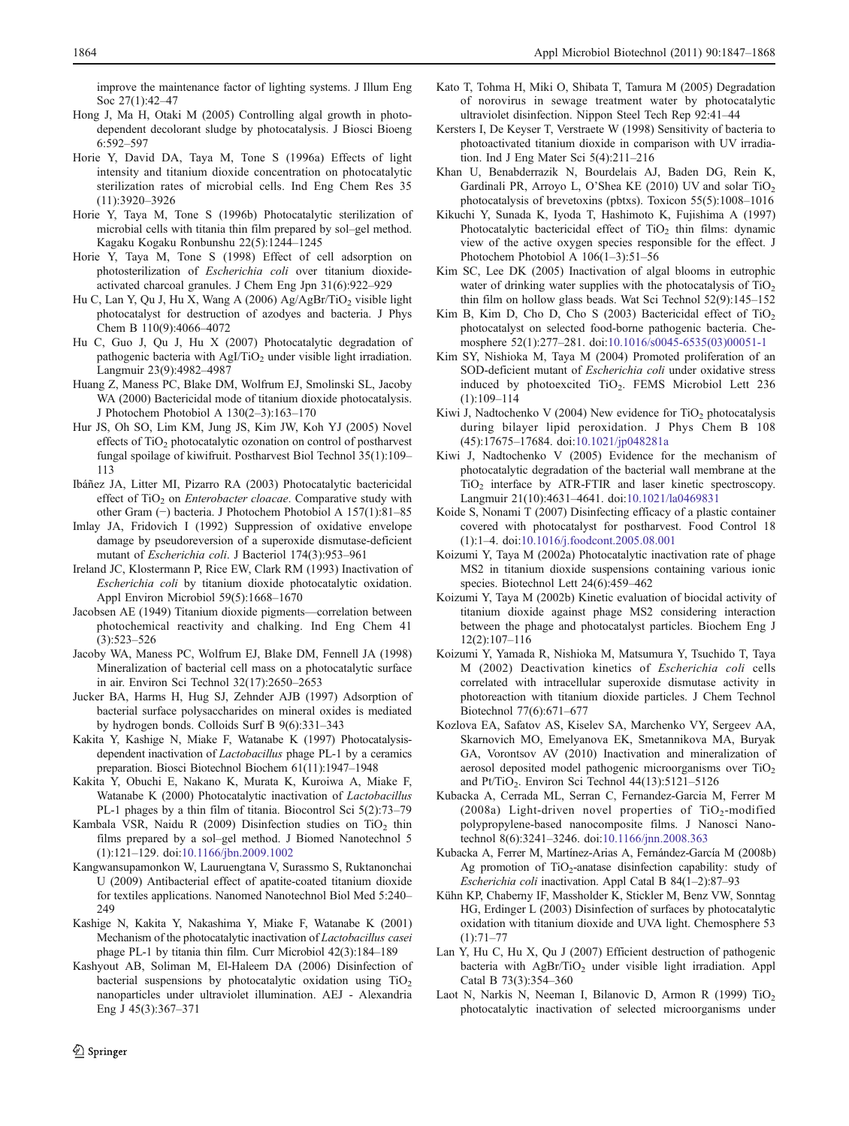<span id="page-18-0"></span>improve the maintenance factor of lighting systems. J Illum Eng Soc 27(1):42–47

- Hong J, Ma H, Otaki M (2005) Controlling algal growth in photodependent decolorant sludge by photocatalysis. J Biosci Bioeng 6:592–597
- Horie Y, David DA, Taya M, Tone S (1996a) Effects of light intensity and titanium dioxide concentration on photocatalytic sterilization rates of microbial cells. Ind Eng Chem Res 35 (11):3920–3926
- Horie Y, Taya M, Tone S (1996b) Photocatalytic sterilization of microbial cells with titania thin film prepared by sol–gel method. Kagaku Kogaku Ronbunshu 22(5):1244–1245
- Horie Y, Taya M, Tone S (1998) Effect of cell adsorption on photosterilization of Escherichia coli over titanium dioxideactivated charcoal granules. J Chem Eng Jpn 31(6):922–929
- Hu C, Lan Y, Qu J, Hu X, Wang A (2006) Ag/AgBr/TiO<sub>2</sub> visible light photocatalyst for destruction of azodyes and bacteria. J Phys Chem B 110(9):4066–4072
- Hu C, Guo J, Qu J, Hu X (2007) Photocatalytic degradation of pathogenic bacteria with AgI/TiO<sub>2</sub> under visible light irradiation. Langmuir 23(9):4982–4987
- Huang Z, Maness PC, Blake DM, Wolfrum EJ, Smolinski SL, Jacoby WA (2000) Bactericidal mode of titanium dioxide photocatalysis. J Photochem Photobiol A 130(2–3):163–170
- Hur JS, Oh SO, Lim KM, Jung JS, Kim JW, Koh YJ (2005) Novel effects of TiO<sub>2</sub> photocatalytic ozonation on control of postharvest fungal spoilage of kiwifruit. Postharvest Biol Technol 35(1):109– 113
- Ibáñez JA, Litter MI, Pizarro RA (2003) Photocatalytic bactericidal effect of  $TiO<sub>2</sub>$  on *Enterobacter cloacae*. Comparative study with other Gram (−) bacteria. J Photochem Photobiol A 157(1):81–85
- Imlay JA, Fridovich I (1992) Suppression of oxidative envelope damage by pseudoreversion of a superoxide dismutase-deficient mutant of Escherichia coli. J Bacteriol 174(3):953–961
- Ireland JC, Klostermann P, Rice EW, Clark RM (1993) Inactivation of Escherichia coli by titanium dioxide photocatalytic oxidation. Appl Environ Microbiol 59(5):1668–1670
- Jacobsen AE (1949) Titanium dioxide pigments—correlation between photochemical reactivity and chalking. Ind Eng Chem 41 (3):523–526
- Jacoby WA, Maness PC, Wolfrum EJ, Blake DM, Fennell JA (1998) Mineralization of bacterial cell mass on a photocatalytic surface in air. Environ Sci Technol 32(17):2650–2653
- Jucker BA, Harms H, Hug SJ, Zehnder AJB (1997) Adsorption of bacterial surface polysaccharides on mineral oxides is mediated by hydrogen bonds. Colloids Surf B 9(6):331–343
- Kakita Y, Kashige N, Miake F, Watanabe K (1997) Photocatalysisdependent inactivation of Lactobacillus phage PL-1 by a ceramics preparation. Biosci Biotechnol Biochem 61(11):1947–1948
- Kakita Y, Obuchi E, Nakano K, Murata K, Kuroiwa A, Miake F, Watanabe K (2000) Photocatalytic inactivation of Lactobacillus PL-1 phages by a thin film of titania. Biocontrol Sci 5(2):73–79
- Kambala VSR, Naidu R (2009) Disinfection studies on  $TiO<sub>2</sub>$  thin films prepared by a sol–gel method. J Biomed Nanotechnol 5 (1):121–129. doi:[10.1166/jbn.2009.1002](http://dx.doi.org/10.1166/jbn.2009.1002)
- Kangwansupamonkon W, Lauruengtana V, Surassmo S, Ruktanonchai U (2009) Antibacterial effect of apatite-coated titanium dioxide for textiles applications. Nanomed Nanotechnol Biol Med 5:240– 249
- Kashige N, Kakita Y, Nakashima Y, Miake F, Watanabe K (2001) Mechanism of the photocatalytic inactivation of Lactobacillus casei phage PL-1 by titania thin film. Curr Microbiol 42(3):184–189
- Kashyout AB, Soliman M, El-Haleem DA (2006) Disinfection of bacterial suspensions by photocatalytic oxidation using  $TiO<sub>2</sub>$ nanoparticles under ultraviolet illumination. AEJ - Alexandria Eng J 45(3):367–371
- Kato T, Tohma H, Miki O, Shibata T, Tamura M (2005) Degradation of norovirus in sewage treatment water by photocatalytic ultraviolet disinfection. Nippon Steel Tech Rep 92:41–44
- Kersters I, De Keyser T, Verstraete W (1998) Sensitivity of bacteria to photoactivated titanium dioxide in comparison with UV irradiation. Ind J Eng Mater Sci 5(4):211–216
- Khan U, Benabderrazik N, Bourdelais AJ, Baden DG, Rein K, Gardinali PR, Arroyo L, O'Shea KE (2010) UV and solar TiO<sub>2</sub> photocatalysis of brevetoxins (pbtxs). Toxicon 55(5):1008–1016
- Kikuchi Y, Sunada K, Iyoda T, Hashimoto K, Fujishima A (1997) Photocatalytic bactericidal effect of  $TiO<sub>2</sub>$  thin films: dynamic view of the active oxygen species responsible for the effect. J Photochem Photobiol A 106(1–3):51–56
- Kim SC, Lee DK (2005) Inactivation of algal blooms in eutrophic water of drinking water supplies with the photocatalysis of  $TiO<sub>2</sub>$ thin film on hollow glass beads. Wat Sci Technol 52(9):145–152
- Kim B, Kim D, Cho D, Cho S  $(2003)$  Bactericidal effect of TiO<sub>2</sub> photocatalyst on selected food-borne pathogenic bacteria. Chemosphere 52(1):277–281. doi:[10.1016/s0045-6535\(03\)00051-1](http://dx.doi.org/10.1016/s0045-6535(03)00051-1)
- Kim SY, Nishioka M, Taya M (2004) Promoted proliferation of an SOD-deficient mutant of Escherichia coli under oxidative stress induced by photoexcited TiO<sub>2</sub>. FEMS Microbiol Lett 236 (1):109–114
- Kiwi J, Nadtochenko V (2004) New evidence for  $TiO<sub>2</sub>$  photocatalysis during bilayer lipid peroxidation. J Phys Chem B 108 (45):17675–17684. doi:[10.1021/jp048281a](http://dx.doi.org/10.1021/jp048281a)
- Kiwi J, Nadtochenko V (2005) Evidence for the mechanism of photocatalytic degradation of the bacterial wall membrane at the TiO<sub>2</sub> interface by ATR-FTIR and laser kinetic spectroscopy. Langmuir 21(10):4631–4641. doi:[10.1021/la0469831](http://dx.doi.org/10.1021/la0469831)
- Koide S, Nonami T (2007) Disinfecting efficacy of a plastic container covered with photocatalyst for postharvest. Food Control 18 (1):1–4. doi:[10.1016/j.foodcont.2005.08.001](http://dx.doi.org/10.1016/j.foodcont.2005.08.001)
- Koizumi Y, Taya M (2002a) Photocatalytic inactivation rate of phage MS2 in titanium dioxide suspensions containing various ionic species. Biotechnol Lett 24(6):459–462
- Koizumi Y, Taya M (2002b) Kinetic evaluation of biocidal activity of titanium dioxide against phage MS2 considering interaction between the phage and photocatalyst particles. Biochem Eng J 12(2):107–116
- Koizumi Y, Yamada R, Nishioka M, Matsumura Y, Tsuchido T, Taya M (2002) Deactivation kinetics of Escherichia coli cells correlated with intracellular superoxide dismutase activity in photoreaction with titanium dioxide particles. J Chem Technol Biotechnol 77(6):671–677
- Kozlova EA, Safatov AS, Kiselev SA, Marchenko VY, Sergeev AA, Skarnovich MO, Emelyanova EK, Smetannikova MA, Buryak GA, Vorontsov AV (2010) Inactivation and mineralization of aerosol deposited model pathogenic microorganisms over TiO<sub>2</sub> and Pt/TiO<sub>2</sub>. Environ Sci Technol 44(13):5121-5126
- Kubacka A, Cerrada ML, Serran C, Fernandez-Garcia M, Ferrer M (2008a) Light-driven novel properties of  $TiO<sub>2</sub>$ -modified polypropylene-based nanocomposite films. J Nanosci Nanotechnol 8(6):3241–3246. doi:[10.1166/jnn.2008.363](http://dx.doi.org/10.1166/jnn.2008.363)
- Kubacka A, Ferrer M, Martínez-Arias A, Fernández-García M (2008b) Ag promotion of  $TiO<sub>2</sub>$ -anatase disinfection capability: study of Escherichia coli inactivation. Appl Catal B 84(1–2):87–93
- Kühn KP, Chaberny IF, Massholder K, Stickler M, Benz VW, Sonntag HG, Erdinger L (2003) Disinfection of surfaces by photocatalytic oxidation with titanium dioxide and UVA light. Chemosphere 53  $(1):71-77$
- Lan Y, Hu C, Hu X, Qu J (2007) Efficient destruction of pathogenic bacteria with  $AgBr/TiO<sub>2</sub>$  under visible light irradiation. Appl Catal B 73(3):354–360
- Laot N, Narkis N, Neeman I, Bilanovic D, Armon R (1999)  $TiO<sub>2</sub>$ photocatalytic inactivation of selected microorganisms under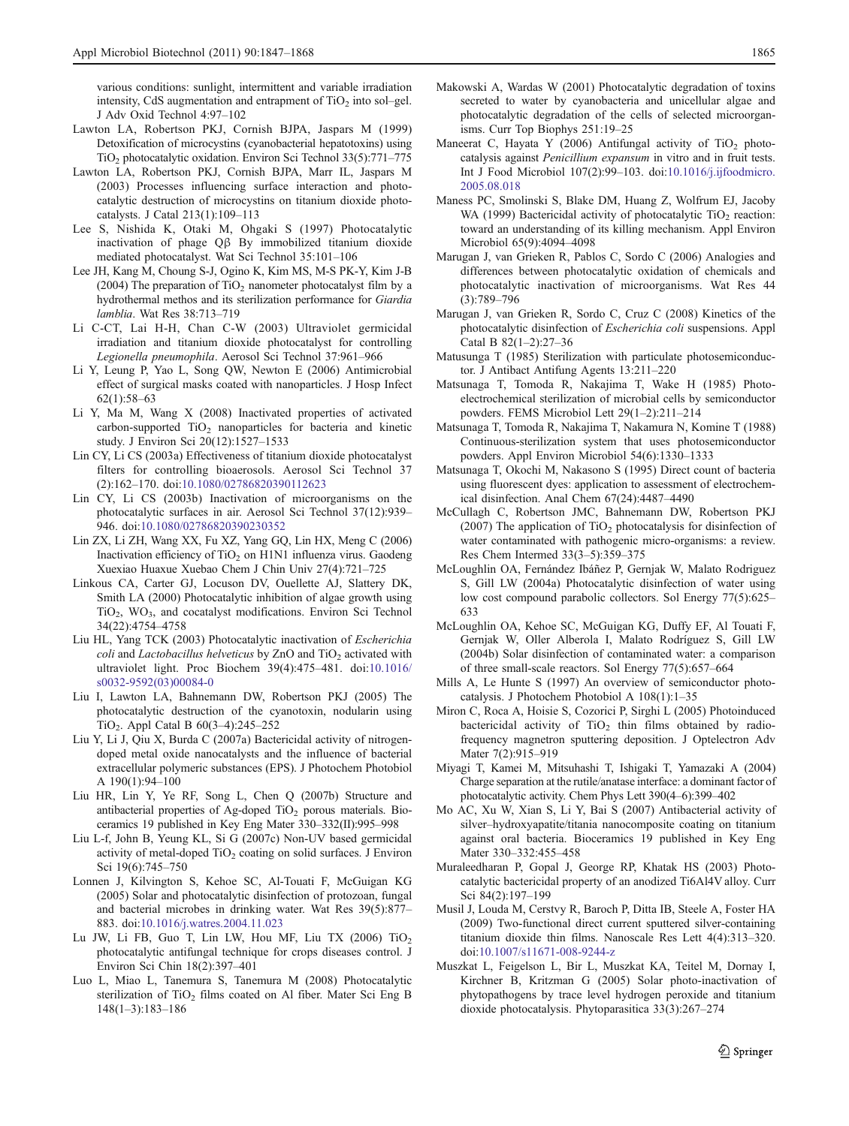<span id="page-19-0"></span>various conditions: sunlight, intermittent and variable irradiation intensity, CdS augmentation and entrapment of  $TiO<sub>2</sub>$  into sol–gel. J Adv Oxid Technol 4:97–102

- Lawton LA, Robertson PKJ, Cornish BJPA, Jaspars M (1999) Detoxification of microcystins (cyanobacterial hepatotoxins) using TiO2 photocatalytic oxidation. Environ Sci Technol 33(5):771–775
- Lawton LA, Robertson PKJ, Cornish BJPA, Marr IL, Jaspars M (2003) Processes influencing surface interaction and photocatalytic destruction of microcystins on titanium dioxide photocatalysts. J Catal 213(1):109–113
- Lee S, Nishida K, Otaki M, Ohgaki S (1997) Photocatalytic inactivation of phage Qβ By immobilized titanium dioxide mediated photocatalyst. Wat Sci Technol 35:101–106
- Lee JH, Kang M, Choung S-J, Ogino K, Kim MS, M-S PK-Y, Kim J-B (2004) The preparation of  $TiO<sub>2</sub>$  nanometer photocatalyst film by a hydrothermal methos and its sterilization performance for Giardia lamblia. Wat Res 38:713–719
- Li C-CT, Lai H-H, Chan C-W (2003) Ultraviolet germicidal irradiation and titanium dioxide photocatalyst for controlling Legionella pneumophila. Aerosol Sci Technol 37:961–966
- Li Y, Leung P, Yao L, Song QW, Newton E (2006) Antimicrobial effect of surgical masks coated with nanoparticles. J Hosp Infect 62(1):58–63
- Li Y, Ma M, Wang X (2008) Inactivated properties of activated carbon-supported  $TiO<sub>2</sub>$  nanoparticles for bacteria and kinetic study. J Environ Sci 20(12):1527–1533
- Lin CY, Li CS (2003a) Effectiveness of titanium dioxide photocatalyst filters for controlling bioaerosols. Aerosol Sci Technol 37 (2):162–170. doi:[10.1080/02786820390112623](http://dx.doi.org/10.1080/02786820390112623)
- Lin CY, Li CS (2003b) Inactivation of microorganisms on the photocatalytic surfaces in air. Aerosol Sci Technol 37(12):939– 946. doi:[10.1080/02786820390230352](http://dx.doi.org/10.1080/02786820390230352)
- Lin ZX, Li ZH, Wang XX, Fu XZ, Yang GQ, Lin HX, Meng C (2006) Inactivation efficiency of TiO<sub>2</sub> on H1N1 influenza virus. Gaodeng Xuexiao Huaxue Xuebao Chem J Chin Univ 27(4):721–725
- Linkous CA, Carter GJ, Locuson DV, Ouellette AJ, Slattery DK, Smith LA (2000) Photocatalytic inhibition of algae growth using TiO<sub>2</sub>, WO<sub>3</sub>, and cocatalyst modifications. Environ Sci Technol 34(22):4754–4758
- Liu HL, Yang TCK (2003) Photocatalytic inactivation of Escherichia coli and Lactobacillus helveticus by  $ZnO$  and  $TiO<sub>2</sub>$  activated with ultraviolet light. Proc Biochem 39(4):475–481. doi[:10.1016/](http://dx.doi.org/10.1016/s0032-9592(03)00084-0) [s0032-9592\(03\)00084-0](http://dx.doi.org/10.1016/s0032-9592(03)00084-0)
- Liu I, Lawton LA, Bahnemann DW, Robertson PKJ (2005) The photocatalytic destruction of the cyanotoxin, nodularin using TiO2. Appl Catal B 60(3–4):245–252
- Liu Y, Li J, Qiu X, Burda C (2007a) Bactericidal activity of nitrogendoped metal oxide nanocatalysts and the influence of bacterial extracellular polymeric substances (EPS). J Photochem Photobiol A 190(1):94–100
- Liu HR, Lin Y, Ye RF, Song L, Chen Q (2007b) Structure and antibacterial properties of Ag-doped TiO<sub>2</sub> porous materials. Bioceramics 19 published in Key Eng Mater 330–332(II):995–998
- Liu L-f, John B, Yeung KL, Si G (2007c) Non-UV based germicidal activity of metal-doped  $TiO<sub>2</sub>$  coating on solid surfaces. J Environ Sci 19(6):745–750
- Lonnen J, Kilvington S, Kehoe SC, Al-Touati F, McGuigan KG (2005) Solar and photocatalytic disinfection of protozoan, fungal and bacterial microbes in drinking water. Wat Res 39(5):877– 883. doi:[10.1016/j.watres.2004.11.023](http://dx.doi.org/10.1016/j.watres.2004.11.023)
- Lu JW, Li FB, Guo T, Lin LW, Hou MF, Liu TX (2006)  $TiO<sub>2</sub>$ photocatalytic antifungal technique for crops diseases control. J Environ Sci Chin 18(2):397–401
- Luo L, Miao L, Tanemura S, Tanemura M (2008) Photocatalytic sterilization of TiO<sub>2</sub> films coated on Al fiber. Mater Sci Eng B 148(1–3):183–186
- Makowski A, Wardas W (2001) Photocatalytic degradation of toxins secreted to water by cyanobacteria and unicellular algae and photocatalytic degradation of the cells of selected microorganisms. Curr Top Biophys 251:19–25
- Maneerat C, Hayata Y (2006) Antifungal activity of  $TiO<sub>2</sub>$  photocatalysis against Penicillium expansum in vitro and in fruit tests. Int J Food Microbiol 107(2):99–103. doi[:10.1016/j.ijfoodmicro.](http://dx.doi.org/10.1016/j.ijfoodmicro.2005.08.018) [2005.08.018](http://dx.doi.org/10.1016/j.ijfoodmicro.2005.08.018)
- Maness PC, Smolinski S, Blake DM, Huang Z, Wolfrum EJ, Jacoby WA (1999) Bactericidal activity of photocatalytic  $TiO<sub>2</sub>$  reaction: toward an understanding of its killing mechanism. Appl Environ Microbiol 65(9):4094–4098
- Marugan J, van Grieken R, Pablos C, Sordo C (2006) Analogies and differences between photocatalytic oxidation of chemicals and photocatalytic inactivation of microorganisms. Wat Res 44 (3):789–796
- Marugan J, van Grieken R, Sordo C, Cruz C (2008) Kinetics of the photocatalytic disinfection of Escherichia coli suspensions. Appl Catal B 82(1–2):27–36
- Matusunga T (1985) Sterilization with particulate photosemiconductor. J Antibact Antifung Agents 13:211–220
- Matsunaga T, Tomoda R, Nakajima T, Wake H (1985) Photoelectrochemical sterilization of microbial cells by semiconductor powders. FEMS Microbiol Lett 29(1–2):211–214
- Matsunaga T, Tomoda R, Nakajima T, Nakamura N, Komine T (1988) Continuous-sterilization system that uses photosemiconductor powders. Appl Environ Microbiol 54(6):1330–1333
- Matsunaga T, Okochi M, Nakasono S (1995) Direct count of bacteria using fluorescent dyes: application to assessment of electrochemical disinfection. Anal Chem 67(24):4487–4490
- McCullagh C, Robertson JMC, Bahnemann DW, Robertson PKJ (2007) The application of  $TiO<sub>2</sub>$  photocatalysis for disinfection of water contaminated with pathogenic micro-organisms: a review. Res Chem Intermed 33(3–5):359–375
- McLoughlin OA, Fernández Ibáñez P, Gernjak W, Malato Rodriguez S, Gill LW (2004a) Photocatalytic disinfection of water using low cost compound parabolic collectors. Sol Energy 77(5):625– 633
- McLoughlin OA, Kehoe SC, McGuigan KG, Duffy EF, Al Touati F, Gernjak W, Oller Alberola I, Malato Rodríguez S, Gill LW (2004b) Solar disinfection of contaminated water: a comparison of three small-scale reactors. Sol Energy 77(5):657–664
- Mills A, Le Hunte S (1997) An overview of semiconductor photocatalysis. J Photochem Photobiol A 108(1):1–35
- Miron C, Roca A, Hoisie S, Cozorici P, Sirghi L (2005) Photoinduced bactericidal activity of  $TiO<sub>2</sub>$  thin films obtained by radiofrequency magnetron sputtering deposition. J Optelectron Adv Mater 7(2):915-919
- Miyagi T, Kamei M, Mitsuhashi T, Ishigaki T, Yamazaki A (2004) Charge separation at the rutile/anatase interface: a dominant factor of photocatalytic activity. Chem Phys Lett 390(4–6):399–402
- Mo AC, Xu W, Xian S, Li Y, Bai S (2007) Antibacterial activity of silver–hydroxyapatite/titania nanocomposite coating on titanium against oral bacteria. Bioceramics 19 published in Key Eng Mater 330–332:455–458
- Muraleedharan P, Gopal J, George RP, Khatak HS (2003) Photocatalytic bactericidal property of an anodized Ti6Al4V alloy. Curr Sci 84(2):197–199
- Musil J, Louda M, Cerstvy R, Baroch P, Ditta IB, Steele A, Foster HA (2009) Two-functional direct current sputtered silver-containing titanium dioxide thin films. Nanoscale Res Lett 4(4):313–320. doi[:10.1007/s11671-008-9244-z](http://dx.doi.org/10.1007/s11671-008-9244-z)
- Muszkat L, Feigelson L, Bir L, Muszkat KA, Teitel M, Dornay I, Kirchner B, Kritzman G (2005) Solar photo-inactivation of phytopathogens by trace level hydrogen peroxide and titanium dioxide photocatalysis. Phytoparasitica 33(3):267–274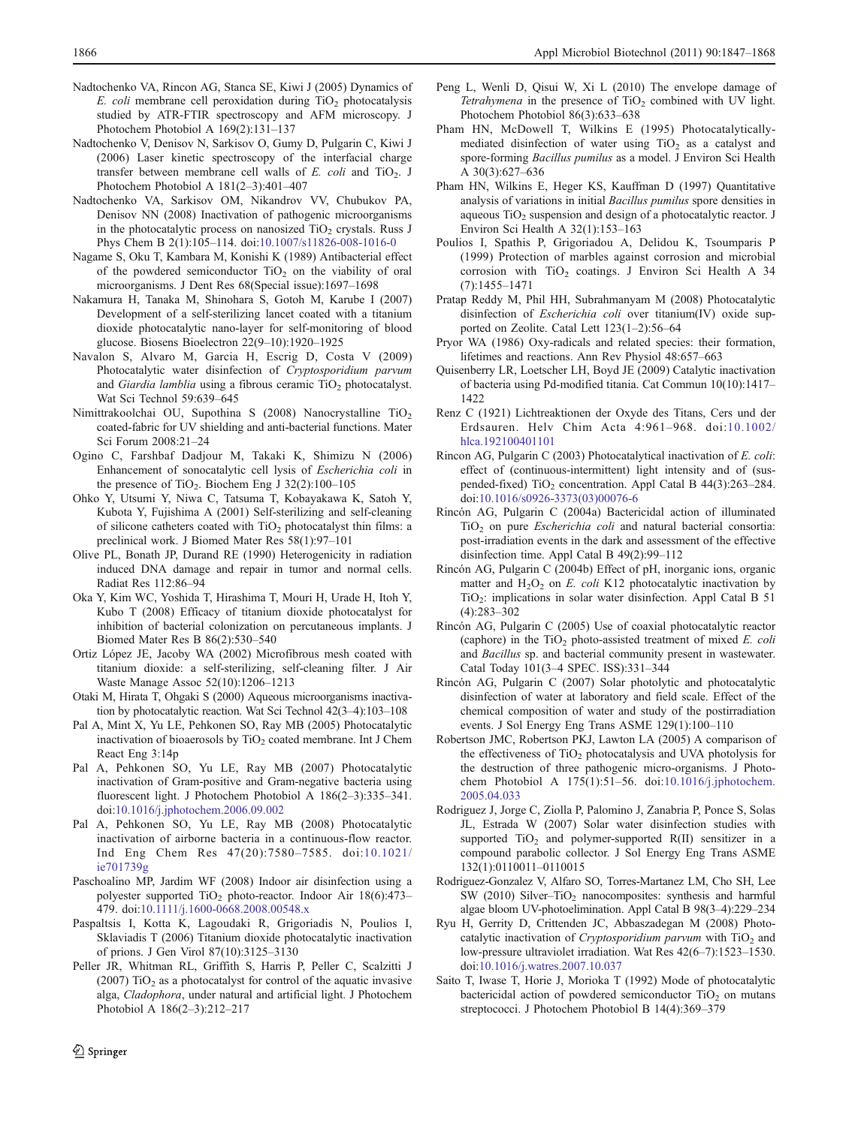- <span id="page-20-0"></span>Nadtochenko VA, Rincon AG, Stanca SE, Kiwi J (2005) Dynamics of E. coli membrane cell peroxidation during  $TiO<sub>2</sub>$  photocatalysis studied by ATR-FTIR spectroscopy and AFM microscopy. J Photochem Photobiol A 169(2):131–137
- Nadtochenko V, Denisov N, Sarkisov O, Gumy D, Pulgarin C, Kiwi J (2006) Laser kinetic spectroscopy of the interfacial charge transfer between membrane cell walls of  $E$ . coli and TiO<sub>2</sub>. J Photochem Photobiol A 181(2–3):401–407
- Nadtochenko VA, Sarkisov OM, Nikandrov VV, Chubukov PA, Denisov NN (2008) Inactivation of pathogenic microorganisms in the photocatalytic process on nanosized  $TiO<sub>2</sub>$  crystals. Russ J Phys Chem B 2(1):105–114. doi[:10.1007/s11826-008-1016-0](http://dx.doi.org/10.1007/s11826-008-1016-0)
- Nagame S, Oku T, Kambara M, Konishi K (1989) Antibacterial effect of the powdered semiconductor  $TiO<sub>2</sub>$  on the viability of oral microorganisms. J Dent Res 68(Special issue):1697–1698
- Nakamura H, Tanaka M, Shinohara S, Gotoh M, Karube I (2007) Development of a self-sterilizing lancet coated with a titanium dioxide photocatalytic nano-layer for self-monitoring of blood glucose. Biosens Bioelectron 22(9–10):1920–1925
- Navalon S, Alvaro M, Garcia H, Escrig D, Costa V (2009) Photocatalytic water disinfection of Cryptosporidium parvum and Giardia lamblia using a fibrous ceramic  $TiO<sub>2</sub>$  photocatalyst. Wat Sci Technol 59:639–645
- Nimittrakoolchai OU, Supothina S (2008) Nanocrystalline TiO<sub>2</sub> coated-fabric for UV shielding and anti-bacterial functions. Mater Sci Forum 2008:21–24
- Ogino C, Farshbaf Dadjour M, Takaki K, Shimizu N (2006) Enhancement of sonocatalytic cell lysis of Escherichia coli in the presence of TiO<sub>2</sub>. Biochem Eng J  $32(2):100-105$
- Ohko Y, Utsumi Y, Niwa C, Tatsuma T, Kobayakawa K, Satoh Y, Kubota Y, Fujishima A (2001) Self-sterilizing and self-cleaning of silicone catheters coated with TiO<sub>2</sub> photocatalyst thin films: a preclinical work. J Biomed Mater Res 58(1):97–101
- Olive PL, Bonath JP, Durand RE (1990) Heterogenicity in radiation induced DNA damage and repair in tumor and normal cells. Radiat Res 112:86–94
- Oka Y, Kim WC, Yoshida T, Hirashima T, Mouri H, Urade H, Itoh Y, Kubo T (2008) Efficacy of titanium dioxide photocatalyst for inhibition of bacterial colonization on percutaneous implants. J Biomed Mater Res B 86(2):530–540
- Ortiz López JE, Jacoby WA (2002) Microfibrous mesh coated with titanium dioxide: a self-sterilizing, self-cleaning filter. J Air Waste Manage Assoc 52(10):1206–1213
- Otaki M, Hirata T, Ohgaki S (2000) Aqueous microorganisms inactivation by photocatalytic reaction. Wat Sci Technol 42(3–4):103–108
- Pal A, Mint X, Yu LE, Pehkonen SO, Ray MB (2005) Photocatalytic inactivation of bioaerosols by  $TiO<sub>2</sub>$  coated membrane. Int J Chem React Eng 3:14p
- Pal A, Pehkonen SO, Yu LE, Ray MB (2007) Photocatalytic inactivation of Gram-positive and Gram-negative bacteria using fluorescent light. J Photochem Photobiol A 186(2–3):335–341. doi[:10.1016/j.jphotochem.2006.09.002](http://dx.doi.org/10.1016/j.jphotochem.2006.09.002)
- Pal A, Pehkonen SO, Yu LE, Ray MB (2008) Photocatalytic inactivation of airborne bacteria in a continuous-flow reactor. Ind Eng Chem Res 47(20):7580–7585. doi:[10.1021/](http://dx.doi.org/10.1021/ie701739g) [ie701739g](http://dx.doi.org/10.1021/ie701739g)
- Paschoalino MP, Jardim WF (2008) Indoor air disinfection using a polyester supported  $TiO<sub>2</sub>$  photo-reactor. Indoor Air 18(6):473– 479. doi:[10.1111/j.1600-0668.2008.00548.x](http://dx.doi.org/10.1111/j.1600-0668.2008.00548.x)
- Paspaltsis I, Kotta K, Lagoudaki R, Grigoriadis N, Poulios I, Sklaviadis T (2006) Titanium dioxide photocatalytic inactivation of prions. J Gen Virol 87(10):3125–3130
- Peller JR, Whitman RL, Griffith S, Harris P, Peller C, Scalzitti J (2007) TiO<sub>2</sub> as a photocatalyst for control of the aquatic invasive alga, Cladophora, under natural and artificial light. J Photochem Photobiol A 186(2–3):212–217
- Peng L, Wenli D, Qisui W, Xi L (2010) The envelope damage of Tetrahymena in the presence of  $TiO<sub>2</sub>$  combined with UV light. Photochem Photobiol 86(3):633–638
- Pham HN, McDowell T, Wilkins E (1995) Photocatalyticallymediated disinfection of water using  $TiO<sub>2</sub>$  as a catalyst and spore-forming Bacillus pumilus as a model. J Environ Sci Health A 30(3):627–636
- Pham HN, Wilkins E, Heger KS, Kauffman D (1997) Quantitative analysis of variations in initial Bacillus pumilus spore densities in aqueous  $TiO<sub>2</sub>$  suspension and design of a photocatalytic reactor. J Environ Sci Health A 32(1):153–163
- Poulios I, Spathis P, Grigoriadou A, Delidou K, Tsoumparis P (1999) Protection of marbles against corrosion and microbial corrosion with  $TiO<sub>2</sub>$  coatings. J Environ Sci Health A 34 (7):1455–1471
- Pratap Reddy M, Phil HH, Subrahmanyam M (2008) Photocatalytic disinfection of Escherichia coli over titanium(IV) oxide supported on Zeolite. Catal Lett 123(1–2):56–64
- Pryor WA (1986) Oxy-radicals and related species: their formation, lifetimes and reactions. Ann Rev Physiol 48:657–663
- Quisenberry LR, Loetscher LH, Boyd JE (2009) Catalytic inactivation of bacteria using Pd-modified titania. Cat Commun 10(10):1417– 1422
- Renz C (1921) Lichtreaktionen der Oxyde des Titans, Cers und der Erdsauren. Helv Chim Acta 4:961–968. doi:[10.1002/](http://dx.doi.org/10.1002/hlca.192100401101) [hlca.192100401101](http://dx.doi.org/10.1002/hlca.192100401101)
- Rincon AG, Pulgarin C (2003) Photocatalytical inactivation of E. coli: effect of (continuous-intermittent) light intensity and of (suspended-fixed)  $TiO<sub>2</sub>$  concentration. Appl Catal B 44(3):263–284. doi[:10.1016/s0926-3373\(03\)00076-6](http://dx.doi.org/10.1016/s0926-3373(03)00076-6)
- Rincón AG, Pulgarin C (2004a) Bactericidal action of illuminated  $TiO<sub>2</sub>$  on pure *Escherichia coli* and natural bacterial consortia: post-irradiation events in the dark and assessment of the effective disinfection time. Appl Catal B 49(2):99–112
- Rincón AG, Pulgarin C (2004b) Effect of pH, inorganic ions, organic matter and  $H_2O_2$  on E. coli K12 photocatalytic inactivation by TiO2: implications in solar water disinfection. Appl Catal B 51 (4):283–302
- Rincón AG, Pulgarin C (2005) Use of coaxial photocatalytic reactor (caphore) in the  $TiO<sub>2</sub>$  photo-assisted treatment of mixed E. coli and Bacillus sp. and bacterial community present in wastewater. Catal Today 101(3–4 SPEC. ISS):331–344
- Rincón AG, Pulgarin C (2007) Solar photolytic and photocatalytic disinfection of water at laboratory and field scale. Effect of the chemical composition of water and study of the postirradiation events. J Sol Energy Eng Trans ASME 129(1):100–110
- Robertson JMC, Robertson PKJ, Lawton LA (2005) A comparison of the effectiveness of  $TiO<sub>2</sub>$  photocatalysis and UVA photolysis for the destruction of three pathogenic micro-organisms. J Photochem Photobiol A 175(1):51–56. doi:[10.1016/j.jphotochem.](http://dx.doi.org/10.1016/j.jphotochem.2005.04.033) [2005.04.033](http://dx.doi.org/10.1016/j.jphotochem.2005.04.033)
- Rodriguez J, Jorge C, Ziolla P, Palomino J, Zanabria P, Ponce S, Solas JL, Estrada W (2007) Solar water disinfection studies with supported  $TiO<sub>2</sub>$  and polymer-supported R(II) sensitizer in a compound parabolic collector. J Sol Energy Eng Trans ASME 132(1):0110011–0110015
- Rodriguez-Gonzalez V, Alfaro SO, Torres-Martanez LM, Cho SH, Lee SW (2010) Silver–TiO<sub>2</sub> nanocomposites: synthesis and harmful algae bloom UV-photoelimination. Appl Catal B 98(3–4):229–234
- Ryu H, Gerrity D, Crittenden JC, Abbaszadegan M (2008) Photocatalytic inactivation of Cryptosporidium parvum with  $TiO<sub>2</sub>$  and low-pressure ultraviolet irradiation. Wat Res 42(6–7):1523–1530. doi[:10.1016/j.watres.2007.10.037](http://dx.doi.org/10.1016/j.watres.2007.10.037)
- Saito T, Iwase T, Horie J, Morioka T (1992) Mode of photocatalytic bactericidal action of powdered semiconductor  $TiO<sub>2</sub>$  on mutans streptococci. J Photochem Photobiol B 14(4):369–379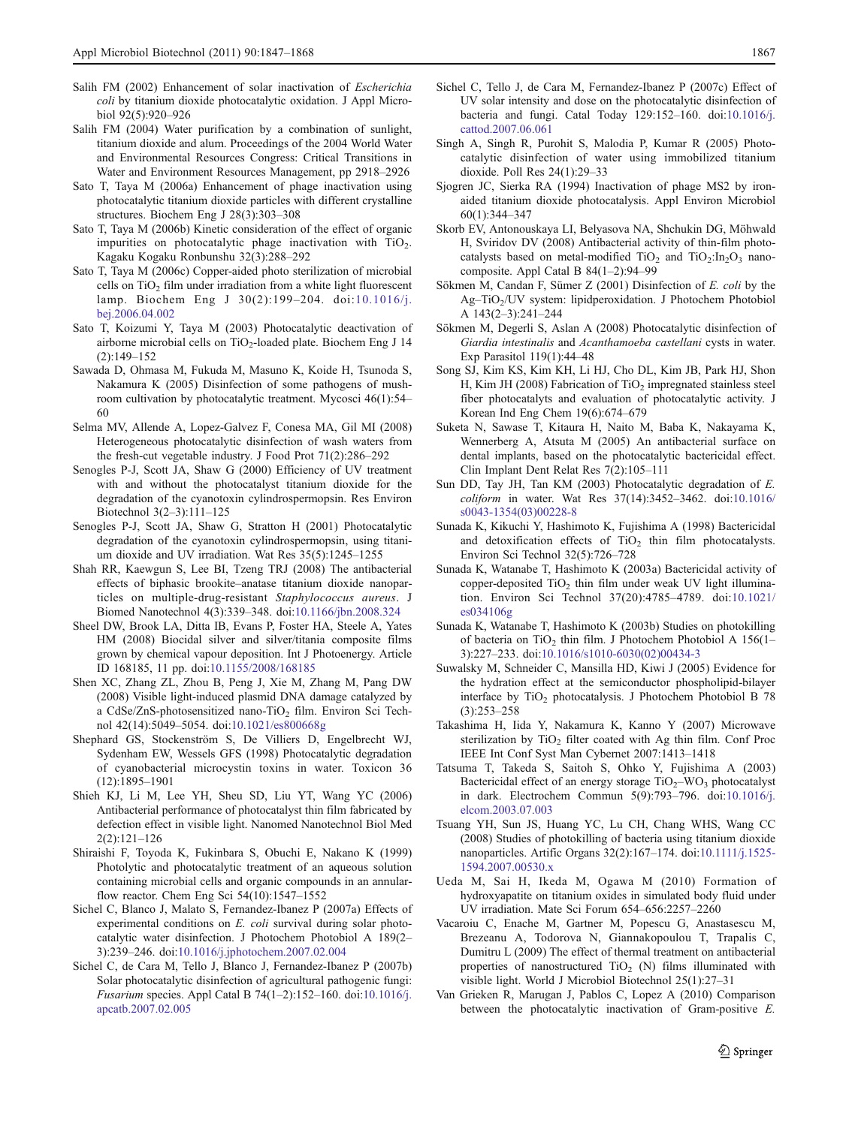- <span id="page-21-0"></span>Salih FM (2004) Water purification by a combination of sunlight, titanium dioxide and alum. Proceedings of the 2004 World Water and Environmental Resources Congress: Critical Transitions in Water and Environment Resources Management, pp 2918–2926
- Sato T, Taya M (2006a) Enhancement of phage inactivation using photocatalytic titanium dioxide particles with different crystalline structures. Biochem Eng J 28(3):303–308
- Sato T, Taya M (2006b) Kinetic consideration of the effect of organic impurities on photocatalytic phage inactivation with  $TiO<sub>2</sub>$ . Kagaku Kogaku Ronbunshu 32(3):288–292
- Sato T, Taya M (2006c) Copper-aided photo sterilization of microbial cells on  $TiO<sub>2</sub>$  film under irradiation from a white light fluorescent lamp. Biochem Eng J 30(2):199–204. doi:[10.1016/j.](http://dx.doi.org/10.1016/j.bej.2006.04.002) [bej.2006.04.002](http://dx.doi.org/10.1016/j.bej.2006.04.002)
- Sato T, Koizumi Y, Taya M (2003) Photocatalytic deactivation of airborne microbial cells on  $TiO<sub>2</sub>$ -loaded plate. Biochem Eng J 14 (2):149–152
- Sawada D, Ohmasa M, Fukuda M, Masuno K, Koide H, Tsunoda S, Nakamura K (2005) Disinfection of some pathogens of mushroom cultivation by photocatalytic treatment. Mycosci 46(1):54– 60
- Selma MV, Allende A, Lopez-Galvez F, Conesa MA, Gil MI (2008) Heterogeneous photocatalytic disinfection of wash waters from the fresh-cut vegetable industry. J Food Prot 71(2):286–292
- Senogles P-J, Scott JA, Shaw G (2000) Efficiency of UV treatment with and without the photocatalyst titanium dioxide for the degradation of the cyanotoxin cylindrospermopsin. Res Environ Biotechnol 3(2–3):111–125
- Senogles P-J, Scott JA, Shaw G, Stratton H (2001) Photocatalytic degradation of the cyanotoxin cylindrospermopsin, using titanium dioxide and UV irradiation. Wat Res 35(5):1245–1255
- Shah RR, Kaewgun S, Lee BI, Tzeng TRJ (2008) The antibacterial effects of biphasic brookite–anatase titanium dioxide nanoparticles on multiple-drug-resistant Staphylococcus aureus. J Biomed Nanotechnol 4(3):339–348. doi:[10.1166/jbn.2008.324](http://dx.doi.org/10.1166/jbn.2008.324)
- Sheel DW, Brook LA, Ditta IB, Evans P, Foster HA, Steele A, Yates HM (2008) Biocidal silver and silver/titania composite films grown by chemical vapour deposition. Int J Photoenergy. Article ID 168185, 11 pp. doi[:10.1155/2008/168185](http://10.1155/2008/168185)
- Shen XC, Zhang ZL, Zhou B, Peng J, Xie M, Zhang M, Pang DW (2008) Visible light-induced plasmid DNA damage catalyzed by a CdSe/ZnS-photosensitized nano-TiO<sub>2</sub> film. Environ Sci Technol 42(14):5049–5054. doi[:10.1021/es800668g](http://dx.doi.org/10.1021/es800668g)
- Shephard GS, Stockenström S, De Villiers D, Engelbrecht WJ, Sydenham EW, Wessels GFS (1998) Photocatalytic degradation of cyanobacterial microcystin toxins in water. Toxicon 36 (12):1895–1901
- Shieh KJ, Li M, Lee YH, Sheu SD, Liu YT, Wang YC (2006) Antibacterial performance of photocatalyst thin film fabricated by defection effect in visible light. Nanomed Nanotechnol Biol Med 2(2):121–126
- Shiraishi F, Toyoda K, Fukinbara S, Obuchi E, Nakano K (1999) Photolytic and photocatalytic treatment of an aqueous solution containing microbial cells and organic compounds in an annularflow reactor. Chem Eng Sci 54(10):1547–1552
- Sichel C, Blanco J, Malato S, Fernandez-Ibanez P (2007a) Effects of experimental conditions on E. coli survival during solar photocatalytic water disinfection. J Photochem Photobiol A 189(2– 3):239–246. doi:[10.1016/j.jphotochem.2007.02.004](http://dx.doi.org/10.1016/j.jphotochem.2007.02.004)
- Sichel C, de Cara M, Tello J, Blanco J, Fernandez-Ibanez P (2007b) Solar photocatalytic disinfection of agricultural pathogenic fungi: Fusarium species. Appl Catal B 74(1–2):152–160. doi:[10.1016/j.](http://dx.doi.org/10.1016/j.apcatb.2007.02.005) [apcatb.2007.02.005](http://dx.doi.org/10.1016/j.apcatb.2007.02.005)
- Sichel C, Tello J, de Cara M, Fernandez-Ibanez P (2007c) Effect of UV solar intensity and dose on the photocatalytic disinfection of bacteria and fungi. Catal Today 129:152–160. doi[:10.1016/j.](http://dx.doi.org/10.1016/j.cattod.2007.06.061) [cattod.2007.06.061](http://dx.doi.org/10.1016/j.cattod.2007.06.061)
- Singh A, Singh R, Purohit S, Malodia P, Kumar R (2005) Photocatalytic disinfection of water using immobilized titanium dioxide. Poll Res 24(1):29–33
- Sjogren JC, Sierka RA (1994) Inactivation of phage MS2 by ironaided titanium dioxide photocatalysis. Appl Environ Microbiol 60(1):344–347
- Skorb EV, Antonouskaya LI, Belyasova NA, Shchukin DG, Möhwald H, Sviridov DV (2008) Antibacterial activity of thin-film photocatalysts based on metal-modified  $TiO<sub>2</sub>$  and  $TiO<sub>2</sub>:In<sub>2</sub>O<sub>3</sub>$  nanocomposite. Appl Catal B 84(1–2):94–99
- Sökmen M, Candan F, Sümer Z (2001) Disinfection of E. coli by the Ag–TiO<sub>2</sub>/UV system: lipidperoxidation. J Photochem Photobiol A 143(2–3):241–244
- Sökmen M, Degerli S, Aslan A (2008) Photocatalytic disinfection of Giardia intestinalis and Acanthamoeba castellani cysts in water. Exp Parasitol 119(1):44–48
- Song SJ, Kim KS, Kim KH, Li HJ, Cho DL, Kim JB, Park HJ, Shon H, Kim JH (2008) Fabrication of  $TiO<sub>2</sub>$  impregnated stainless steel fiber photocatalyts and evaluation of photocatalytic activity. J Korean Ind Eng Chem 19(6):674–679
- Suketa N, Sawase T, Kitaura H, Naito M, Baba K, Nakayama K, Wennerberg A, Atsuta M (2005) An antibacterial surface on dental implants, based on the photocatalytic bactericidal effect. Clin Implant Dent Relat Res 7(2):105–111
- Sun DD, Tay JH, Tan KM (2003) Photocatalytic degradation of E. coliform in water. Wat Res 37(14):3452–3462. doi[:10.1016/](http://dx.doi.org/10.1016/s0043-1354(03)00228-8) [s0043-1354\(03\)00228-8](http://dx.doi.org/10.1016/s0043-1354(03)00228-8)
- Sunada K, Kikuchi Y, Hashimoto K, Fujishima A (1998) Bactericidal and detoxification effects of  $TiO<sub>2</sub>$  thin film photocatalysts. Environ Sci Technol 32(5):726–728
- Sunada K, Watanabe T, Hashimoto K (2003a) Bactericidal activity of copper-deposited  $TiO<sub>2</sub>$  thin film under weak UV light illumination. Environ Sci Technol 37(20):4785–4789. doi:[10.1021/](http://dx.doi.org/10.1021/es034106g) [es034106g](http://dx.doi.org/10.1021/es034106g)
- Sunada K, Watanabe T, Hashimoto K (2003b) Studies on photokilling of bacteria on TiO<sub>2</sub> thin film. J Photochem Photobiol A 156(1– 3):227–233. doi:[10.1016/s1010-6030\(02\)00434-3](http://dx.doi.org/10.1016/s1010-6030(02)00434-3)
- Suwalsky M, Schneider C, Mansilla HD, Kiwi J (2005) Evidence for the hydration effect at the semiconductor phospholipid-bilayer interface by TiO<sub>2</sub> photocatalysis. J Photochem Photobiol B 78 (3):253–258
- Takashima H, Iida Y, Nakamura K, Kanno Y (2007) Microwave sterilization by  $TiO<sub>2</sub>$  filter coated with Ag thin film. Conf Proc IEEE Int Conf Syst Man Cybernet 2007:1413–1418
- Tatsuma T, Takeda S, Saitoh S, Ohko Y, Fujishima A (2003) Bactericidal effect of an energy storage  $TiO<sub>2</sub>$ –WO<sub>3</sub> photocatalyst in dark. Electrochem Commun 5(9):793–796. doi:[10.1016/j.](http://dx.doi.org/10.1016/j.elcom.2003.07.003) [elcom.2003.07.003](http://dx.doi.org/10.1016/j.elcom.2003.07.003)
- Tsuang YH, Sun JS, Huang YC, Lu CH, Chang WHS, Wang CC (2008) Studies of photokilling of bacteria using titanium dioxide nanoparticles. Artific Organs 32(2):167–174. doi[:10.1111/j.1525-](http://dx.doi.org/10.1111/j.1525-1594.2007.00530.x) [1594.2007.00530.x](http://dx.doi.org/10.1111/j.1525-1594.2007.00530.x)
- Ueda M, Sai H, Ikeda M, Ogawa M (2010) Formation of hydroxyapatite on titanium oxides in simulated body fluid under UV irradiation. Mate Sci Forum 654–656:2257–2260
- Vacaroiu C, Enache M, Gartner M, Popescu G, Anastasescu M, Brezeanu A, Todorova N, Giannakopoulou T, Trapalis C, Dumitru L (2009) The effect of thermal treatment on antibacterial properties of nanostructured  $TiO<sub>2</sub>$  (N) films illuminated with visible light. World J Microbiol Biotechnol 25(1):27–31
- Van Grieken R, Marugan J, Pablos C, Lopez A (2010) Comparison between the photocatalytic inactivation of Gram-positive E.